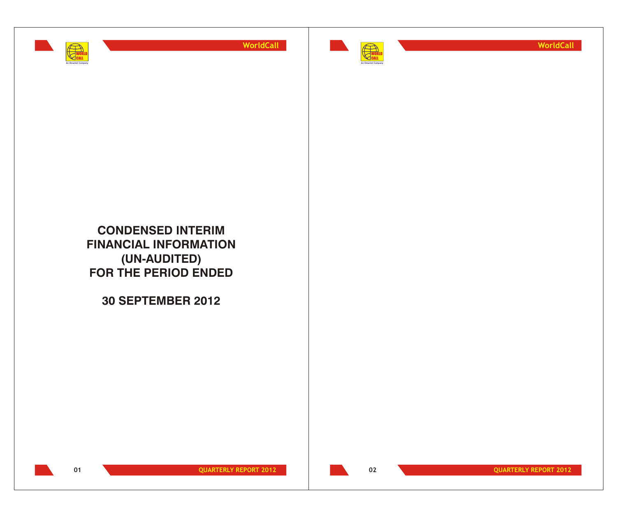



**WorldCall**

**CONDENSED INTERIM FINANCIAL INFORMATION (UN-AUDITED) FOR THE PERIOD ENDED**

**30 SEPTEMBER 2012**

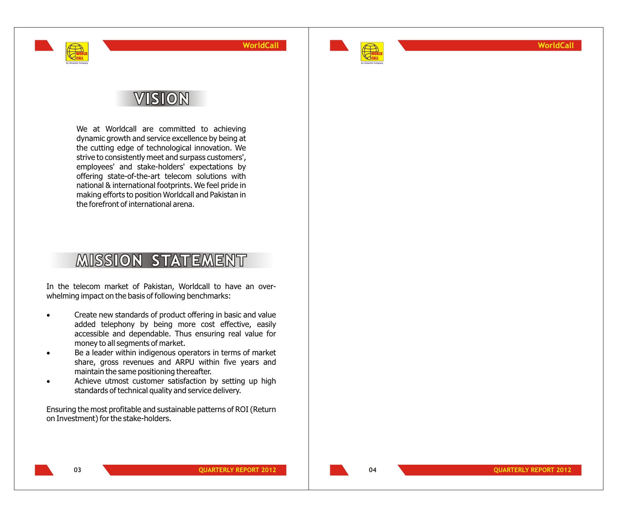

**WorldCall**

## **VISION**

WORLD CALL **An Omantel Company**

> We at Worldcall are committed to achieving dynamic growth and service excellence by being at the cutting edge of technological innovation. We strive to consistently meet and surpass customers', employees' and stake-holders' expectations by offering state-of-the-art telecom solutions with national & international footprints. We feel pride in making efforts to position Worldcall and Pakistan in the forefront of international arena.

## **MISSION STATEMENT**

In the telecom market of Pakistan, Worldcall to have an overwhelming impact on the basis of following benchmarks:

- Create new standards of product offering in basic and value added telephony by being more cost effective, easily accessible and dependable. Thus ensuring real value for money to all segments of market.
- Be a leader within indigenous operators in terms of market share, gross revenues and ARPU within five years and maintain the same positioning thereafter.
- Achieve utmost customer satisfaction by setting up high standards of technical quality and service delivery.
- Ensuring the most profitable and sustainable patterns of ROI (Return on Investment) for the stake-holders.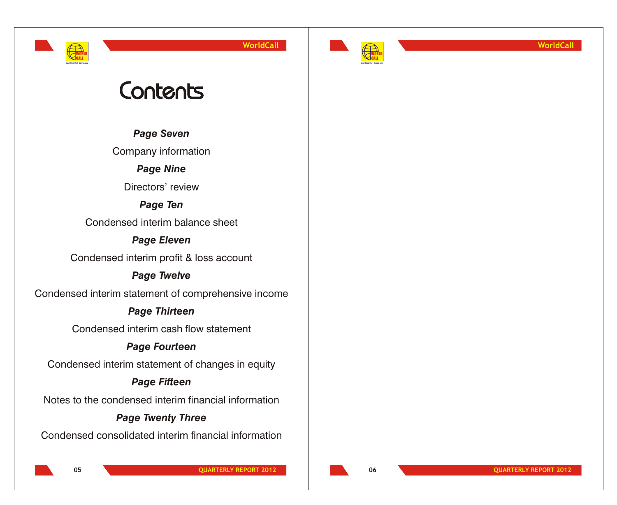WORLD CALL **An Omantel Company** **WorldCall**



**WorldCall**

# Contents

*Page Seven*

Company information

*Page Nine*

Directors' review

*Page Ten*

Condensed interim balance sheet

## *Page Eleven*

Condensed interim profit & loss account

## *Page Twelve*

Condensed interim statement of comprehensive income

## *Page Thirteen*

Condensed interim cash flow statement

## *Page Fourteen*

Condensed interim statement of changes in equity

## *Page Fifteen*

Notes to the condensed interim financial information

## *Page Twenty Three*

Condensed consolidated interim financial information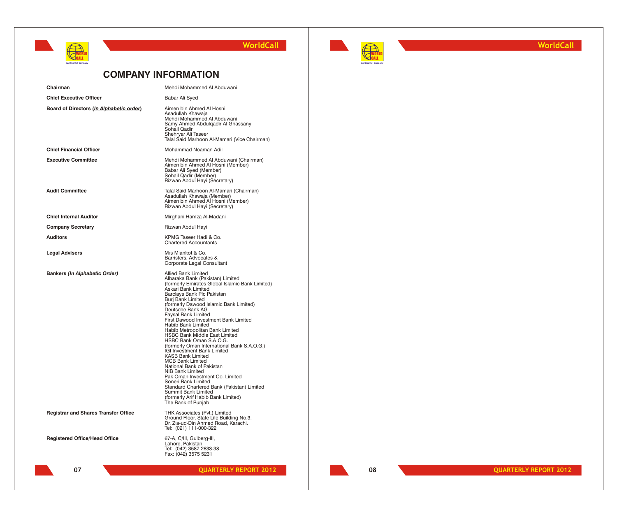



**WorldCall**

## **COMPANY INFORMATION**

| Chairman                                    | Mehdi Mohammed Al Abduwani                                                                                                                                                                                                                                                                                                                                                                                                                                                                                                                                                                                                                                                                                                                                                                                                                   |
|---------------------------------------------|----------------------------------------------------------------------------------------------------------------------------------------------------------------------------------------------------------------------------------------------------------------------------------------------------------------------------------------------------------------------------------------------------------------------------------------------------------------------------------------------------------------------------------------------------------------------------------------------------------------------------------------------------------------------------------------------------------------------------------------------------------------------------------------------------------------------------------------------|
| <b>Chief Executive Officer</b>              | Babar Ali Syed                                                                                                                                                                                                                                                                                                                                                                                                                                                                                                                                                                                                                                                                                                                                                                                                                               |
| Board of Directors (In Alphabetic order)    | Aimen bin Ahmed Al Hosni<br>Asadullah Khawaja<br>Mehdi Mohammed Al Abduwani<br>Samy Ahmed Abdulqadir Al Ghassany<br>Sohail Qadir<br>Shehryar Ali Taseer<br>Talal Said Marhoon Al-Mamari (Vice Chairman)                                                                                                                                                                                                                                                                                                                                                                                                                                                                                                                                                                                                                                      |
| <b>Chief Financial Officer</b>              | Mohammad Noaman Adil                                                                                                                                                                                                                                                                                                                                                                                                                                                                                                                                                                                                                                                                                                                                                                                                                         |
| <b>Executive Committee</b>                  | Mehdi Mohammed Al Abduwani (Chairman)<br>Aimen bin Ahmed Al Hosni (Member)<br>Babar Ali Syed (Member)<br>Sohail Qadir (Member)<br>Rizwan Abdul Hayi (Secretary)                                                                                                                                                                                                                                                                                                                                                                                                                                                                                                                                                                                                                                                                              |
| <b>Audit Committee</b>                      | Talal Said Marhoon Al-Mamari (Chairman)<br>Asadullah Khawaja (Member)<br>Aimen bin Ahmed Al Hosni (Member)<br>Rizwan Abdul Hayi (Secretary)                                                                                                                                                                                                                                                                                                                                                                                                                                                                                                                                                                                                                                                                                                  |
| <b>Chief Internal Auditor</b>               | Mirghani Hamza Al-Madani                                                                                                                                                                                                                                                                                                                                                                                                                                                                                                                                                                                                                                                                                                                                                                                                                     |
| <b>Company Secretary</b>                    | Rizwan Abdul Hayi                                                                                                                                                                                                                                                                                                                                                                                                                                                                                                                                                                                                                                                                                                                                                                                                                            |
| <b>Auditors</b>                             | KPMG Taseer Hadi & Co.<br><b>Chartered Accountants</b>                                                                                                                                                                                                                                                                                                                                                                                                                                                                                                                                                                                                                                                                                                                                                                                       |
| <b>Legal Advisers</b>                       | M/s Miankot & Co.<br>Barristers, Advocates &<br>Corporate Legal Consultant                                                                                                                                                                                                                                                                                                                                                                                                                                                                                                                                                                                                                                                                                                                                                                   |
| <b>Bankers (In Alphabetic Order)</b>        | Allied Bank Limited<br>Albaraka Bank (Pakistan) Limited<br>(formerly Emirates Global Islamic Bank Limited)<br>Askari Bank Limited<br>Barclays Bank Plc Pakistan<br>Burj Bank Limited<br>(formerly Dawood Islamic Bank Limited)<br>Deutsche Bank AG<br><b>Faysal Bank Limited</b><br>First Dawood Investment Bank Limited<br>Habib Bank Limited<br>Habib Metropolitan Bank Limited<br><b>HSBC Bank Middle East Limited</b><br>HSBC Bank Oman S.A.O.G.<br>(formerly Oman International Bank S.A.O.G.)<br>IGI Investment Bank Limited<br><b>KASB Bank Limited</b><br><b>MCB Bank Limited</b><br>National Bank of Pakistan<br><b>NIB Bank Limited</b><br>Pak Oman Investment Co. Limited<br>Soneri Bank Limited<br>Standard Chartered Bank (Pakistan) Limited<br>Summit Bank Limited<br>(formerly Arif Habib Bank Limited)<br>The Bank of Punjab |
| <b>Registrar and Shares Transfer Office</b> | THK Associates (Pvt.) Limited<br>Ground Floor, State Life Building No.3,<br>Dr. Zia-ud-Din Ahmed Road, Karachi.<br>Tel: (021) 111-000-322                                                                                                                                                                                                                                                                                                                                                                                                                                                                                                                                                                                                                                                                                                    |
| <b>Registered Office/Head Office</b>        | 67-A, C/III, Gulberg-III,<br>Lahore, Pakistan<br>Tel: (042) 3587 2633-38<br>Fax: (042) 3575 5231                                                                                                                                                                                                                                                                                                                                                                                                                                                                                                                                                                                                                                                                                                                                             |
| 07                                          | <b>QUARTERLY REPORT 2012</b>                                                                                                                                                                                                                                                                                                                                                                                                                                                                                                                                                                                                                                                                                                                                                                                                                 |
|                                             |                                                                                                                                                                                                                                                                                                                                                                                                                                                                                                                                                                                                                                                                                                                                                                                                                                              |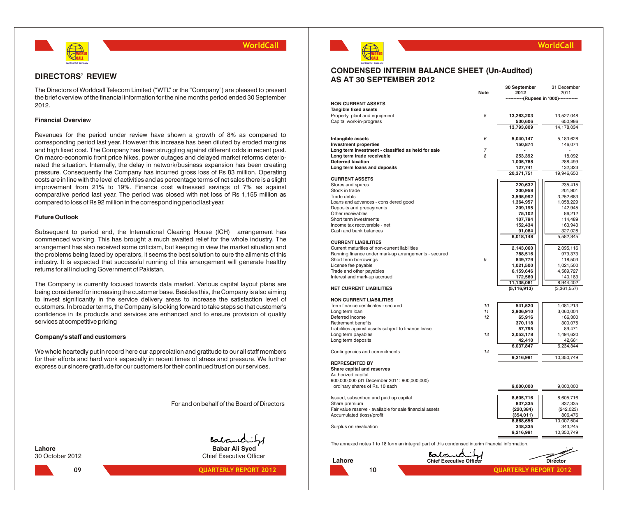

### **DIRECTORS' REVIEW**

The Directors of Worldcall Telecom Limited ("WTL" or the "Company") are pleased to present the brief overview of the financial information for the nine months period ended 30 September 2012.

### **Financial Overview**

Revenues for the period under review have shown a growth of 8% as compared to corresponding period last year. However this increase has been diluted by eroded margins and high fixed cost. The Company has been struggling against different odds in recent past. On macro-economic front price hikes, power outages and delayed market reforms deteriorated the situation. Internally, the delay in network/business expansion has been creating pressure. Consequently the Company has incurred gross loss of Rs 83 million. Operating costs are in line with the level of activities and as percentage terms of net sales there is a slight improvement from 21% to 19%. Finance cost witnessed savings of 7% as against comparative period last year. The period was closed with net loss of Rs 1,155 million as compared to loss of Rs 92 million in the corresponding period last year.

### **Future Outlook**

Subsequent to period end, the International Clearing House (ICH) arrangement has commenced working. This has brought a much awaited relief for the whole industry. The arrangement has also received some criticism, but keeping in view the market situation and the problems being faced by operators, it seems the best solution to cure the ailments of this industry. It is expected that successful running of this arrangement will generate healthy returns for all including Government of Pakistan.

The Company is currently focused towards data market. Various capital layout plans are being considered for increasing the customer base. Besides this, the Company is also aiming to invest significantly in the service delivery areas to increase the satisfaction level of customers. In broader terms, the Company is looking forward to take steps so that customer's confidence in its products and services are enhanced and to ensure provision of quality services at competitive pricing

### **Company's staff and customers**

We whole heartedly put in record here our appreciation and gratitude to our all staff members for their efforts and hard work especially in recent times of stress and pressure. We further express our sincere gratitude for our customers for their continued trust on our services.

For and on behalf of the Board of Directors





30 October 2012 Chief Executive Officer

### **09 QUARTERLY REPORT 2012**



### **WorldCall**

### **CONDENSED INTERIM BALANCE SHEET (Un-Audited) AS AT 30 SEPTEMBER 2012**

|                                                                                                  | <b>Note</b>    | 30 September<br>2012          | 31 December<br>2011   |
|--------------------------------------------------------------------------------------------------|----------------|-------------------------------|-----------------------|
|                                                                                                  |                | -----(Rupees in '000)-------- |                       |
| <b>NON CURRENT ASSETS</b><br>Tangible fixed assets                                               |                |                               |                       |
| Property, plant and equipment                                                                    | 5              | 13,263,203                    | 13,527,048            |
| Capital work-in-progress                                                                         |                | 530,606                       | 650,986               |
|                                                                                                  |                | 13,793,809                    | 14,178,034            |
|                                                                                                  |                |                               |                       |
| Intangible assets                                                                                | 6              | 5,040,147                     | 5,183,628             |
| <b>Investment properties</b>                                                                     |                | 150,874                       | 146,074               |
| Long term investment - classified as held for sale                                               | $\overline{7}$ |                               |                       |
| Long term trade receivable                                                                       | 8              | 253,392                       | 18,092                |
| Deferred taxation                                                                                |                | 1,005,788                     | 288,499               |
| Long term loans and deposits                                                                     |                | 127,741<br>20,371,751         | 132,323<br>19,946,650 |
| <b>CURRENT ASSETS</b>                                                                            |                |                               |                       |
| Stores and spares                                                                                |                | 220,632                       | 235,415               |
| Stock in trade                                                                                   |                | 200,958                       | 201,901               |
| Trade debts                                                                                      |                | 3,595,992                     | 3,252,683             |
| Loans and advances - considered good                                                             |                | 1,364,957                     | 1,058,229             |
| Deposits and prepayments                                                                         |                | 209,195                       | 142,945               |
| Other receivables                                                                                |                | 75,102                        | 86,212                |
| Short term investments                                                                           |                | 107,794                       | 114,489               |
| Income tax recoverable - net                                                                     |                | 152,434                       | 163,943               |
| Cash and bank balances                                                                           |                | 91,084                        | 327,028               |
| <b>CURRENT LIABILITIES</b>                                                                       |                | 6,018,148                     | 5,582,845             |
| Current maturities of non-current liabilities                                                    |                | 2,143,060                     | 2,095,116             |
| Running finance under mark-up arrangements - secured                                             |                | 788,516                       | 979,373               |
| Short term borrowings                                                                            | 9              | 849,779                       | 118,503               |
| License fee payable                                                                              |                | 1,021,500                     | 1,021,500             |
| Trade and other payables                                                                         |                | 6,159,646                     | 4,589,727             |
| Interest and mark-up accrued                                                                     |                | 172,560                       | 140,183               |
|                                                                                                  |                | 11,135,061                    | 8,944,402             |
| NET CURRENT LIABILITIES                                                                          |                | (5, 116, 913)                 | (3,361,557)           |
| <b>NON CURRENT LIABILITIES</b>                                                                   |                |                               |                       |
| Term finance certificates - secured                                                              | 10             | 541,520                       | 1,081,213             |
| Long term loan                                                                                   | 11             | 2,906,910                     | 3,060,004             |
| Deferred income                                                                                  | 12             | 65,916                        | 166,300               |
| Retirement benefits                                                                              |                | 370,118                       | 300,075               |
| Liabilities against assets subject to finance lease                                              |                | 57,795                        | 89,471                |
| Long term payables                                                                               | 13             | 2,053,178                     | 1,494,620             |
| Long term deposits                                                                               |                | 42,410                        | 42,661                |
|                                                                                                  |                | 6,037,847                     | 6,234,344             |
| Contingencies and commitments                                                                    | 14             | 9,216,991                     | 10,350,749            |
| <b>REPRESENTED BY</b>                                                                            |                |                               |                       |
| Share capital and reserves                                                                       |                |                               |                       |
| Authorized capital                                                                               |                |                               |                       |
| 900,000,000 (31 December 2011: 900,000,000)                                                      |                |                               |                       |
| ordinary shares of Rs. 10 each                                                                   |                | 9,000,000                     | 9,000,000             |
|                                                                                                  |                |                               |                       |
| Issued, subscribed and paid up capital                                                           |                | 8,605,716                     | 8,605,716             |
| Share premium                                                                                    |                | 837,335                       | 837,335               |
| Fair value reserve - available for sale financial assets                                         |                | (220, 384)                    | (242, 023)            |
| Accumulated (loss)/profit                                                                        |                | (354, 011)<br>8,868,656       | 806,476<br>10,007,504 |
| Surplus on revaluation                                                                           |                | 348,335                       | 343,245               |
|                                                                                                  |                | 9,216,991                     | 10,350,749            |
|                                                                                                  |                |                               |                       |
| The annexed notes 1 to 18 form an integral part of this condensed interim financial information. |                |                               |                       |
|                                                                                                  |                |                               |                       |
| Babaric<br><b>Chief Executive Officer</b><br>Lahore                                              |                |                               | Director              |
|                                                                                                  |                |                               |                       |
| 10                                                                                               |                | <b>OUARTERLY REPORT 2012</b>  |                       |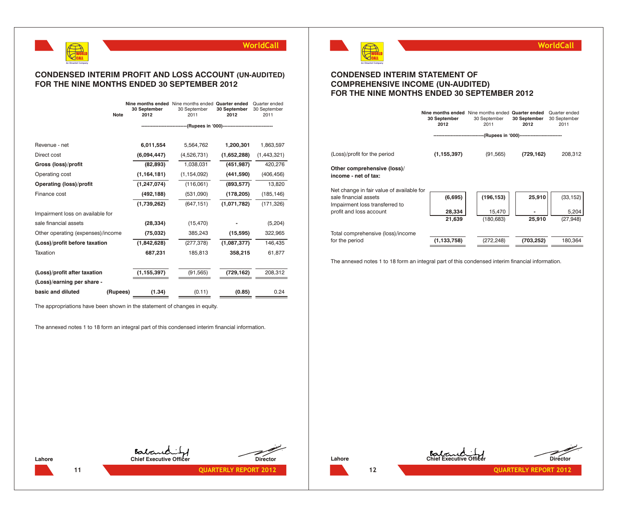

## **CONDENSED INTERIM PROFIT AND LOSS ACCOUNT (UN-AUDITED) FOR THE NINE MONTHS ENDED 30 SEPTEMBER 2012**

| <b>Note</b>                       | Nine months ended Nine months ended Quarter ended<br>30 September<br>2012 | 30 September<br>2011                                           | 30 September<br>2012 | Quarter ended<br>30 September<br>2011 |
|-----------------------------------|---------------------------------------------------------------------------|----------------------------------------------------------------|----------------------|---------------------------------------|
|                                   |                                                                           | -------------(Rupees in '000)--------------------------------- |                      |                                       |
|                                   |                                                                           |                                                                |                      |                                       |
| Revenue - net                     | 6,011,554                                                                 | 5,564,762                                                      | 1,200,301            | 1,863,597                             |
| Direct cost                       | (6,094,447)                                                               | (4,526,731)                                                    | (1,652,288)          | (1,443,321)                           |
| Gross (loss)/profit               | (82, 893)                                                                 | 1,038,031                                                      | (451, 987)           | 420,276                               |
| Operating cost                    | (1, 164, 181)                                                             | (1, 154, 092)                                                  | (441, 590)           | (406, 456)                            |
| <b>Operating (loss)/profit</b>    | (1, 247, 074)                                                             | (116,061)                                                      | (893, 577)           | 13,820                                |
| Finance cost                      | (492, 188)                                                                | (531,090)                                                      | (178, 205)           | (185, 146)                            |
|                                   | (1,739,262)                                                               | (647, 151)                                                     | (1,071,782)          | (171, 326)                            |
| Impairment loss on available for  |                                                                           |                                                                |                      |                                       |
| sale financial assets             | (28, 334)                                                                 | (15, 470)                                                      |                      | (5,204)                               |
| Other operating (expenses)/income | (75, 032)                                                                 | 385,243                                                        | (15, 595)            | 322,965                               |
| (Loss)/profit before taxation     | (1,842,628)                                                               | (277, 378)                                                     | (1,087,377)          | 146,435                               |
| Taxation                          | 687,231                                                                   | 185,813                                                        | 358,215              | 61,877                                |
|                                   |                                                                           |                                                                |                      |                                       |
| (Loss)/profit after taxation      | (1, 155, 397)                                                             | (91, 565)                                                      | (729, 162)           | 208,312                               |
| (Loss)/earning per share -        |                                                                           |                                                                |                      |                                       |
| basic and diluted<br>(Rupees)     | (1.34)                                                                    | (0.11)                                                         | (0.85)               | 0.24                                  |

The appropriations have been shown in the statement of changes in equity.

The annexed notes 1 to 18 form an integral part of this condensed interim financial information.



## **CONDENSED INTERIM STATEMENT OF COMPREHENSIVE INCOME (UN-AUDITED) FOR THE NINE MONTHS ENDED 30 SEPTEMBER 2012**

|                                                                    | Nine months ended Nine months ended Quarter ended<br>30 September<br>2012 | 30 September<br>2011 | 30 September<br>2012                            | Quarter ended<br>30 September<br>2011 |
|--------------------------------------------------------------------|---------------------------------------------------------------------------|----------------------|-------------------------------------------------|---------------------------------------|
|                                                                    |                                                                           |                      | ---(Rupees in '000)---------------------------- |                                       |
| (Loss)/profit for the period                                       | (1, 155, 397)                                                             | (91, 565)            | (729, 162)                                      | 208,312                               |
| Other comprehensive (loss)/<br>income - net of tax:                |                                                                           |                      |                                                 |                                       |
| Net change in fair value of available for<br>sale financial assets | (6,695)                                                                   | (196, 153)           | 25,910                                          | (33, 152)                             |
| Impairment loss transferred to                                     |                                                                           |                      |                                                 |                                       |
| profit and loss account                                            | 28,334<br>21,639                                                          | 15,470<br>(180, 683) | 25,910                                          | 5,204<br>(27, 948)                    |
| Total comprehensive (loss)/income                                  |                                                                           |                      |                                                 |                                       |
| for the period                                                     | (1, 133, 758)                                                             | (272, 248)           | (703, 252)                                      | 180.364                               |

The annexed notes 1 to 18 form an integral part of this condensed interim financial information.



**Lahore Chief Executive Officer Director**

**11 QUARTERLY REPORT 2012** 







**WorldCall**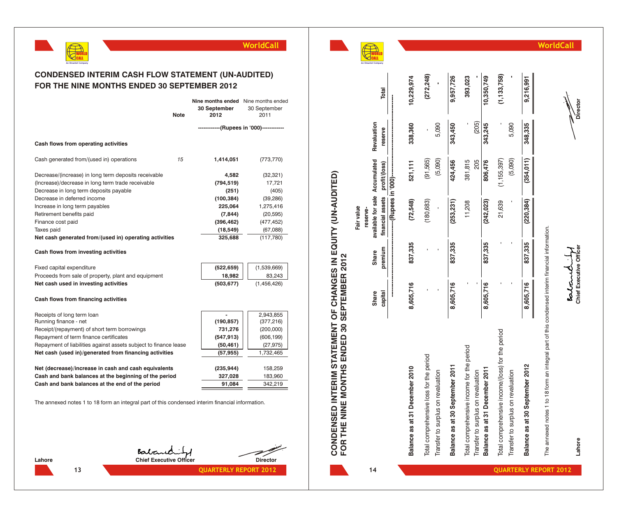**WO** O R L D **CA** A L L **A n O m a n t e o m p a**

**n y** **WorldCall**



|                                                        | <b>Note</b> | Nine months ended Nine months ended<br>30 September<br>2012 | 30 September<br>2011 |
|--------------------------------------------------------|-------------|-------------------------------------------------------------|----------------------|
|                                                        |             | ------------(Rupees in '000)------------                    |                      |
| Cash flows from operating activities                   |             |                                                             |                      |
| Cash generated from/(used in) operations               | 15          | 1,414,051                                                   | (773,770)            |
| Decrease/(increase) in long term deposits receivable   |             | 4,582                                                       | (32, 321)            |
| (Increase)/decrease in long term trade receivable      |             | (794,519)                                                   | 17,721               |
| Decrease in long term deposits payable                 |             | (251)                                                       | (405)                |
| Decrease in deferred income                            |             | (100, 384)                                                  | (39, 286)            |
| Increase in long term payables                         |             | 225,064                                                     | 1,275,416            |
| Retirement benefits paid                               |             | (7, 844)                                                    | (20, 595)            |
| Finance cost paid                                      |             | (396, 462)                                                  | (477, 452)           |
| Taxes paid                                             |             | (18, 549)                                                   | (67,088)             |
| Net cash generated from/(used in) operating activities |             | 325,688                                                     | (117,780)            |

### **Cash flows from investing activities**

Fixed capital expenditure **(522,659)** (1,539,669)<br>Proceeds from sale of property, plant and equipment **18,982** (33,243 Proceeds from sale of property, plant and equ

| Fixed capital expenditure                           | $(522, 659)$ | (1,539,669) |
|-----------------------------------------------------|--------------|-------------|
| Proceeds from sale of property, plant and equipment | 18.982       | 83.243      |
| Net cash used in investing activities               | (503.677)    | (1,456,426) |

### **Cash flows from financing activities**

| Receipts of long term loan                                       |            | 2,943,855  |
|------------------------------------------------------------------|------------|------------|
| Running finance - net                                            | (190, 857) | (377, 216) |
| Receipt/(repayment) of short term borrowings                     | 731,276    | (200,000)  |
| Repayment of term finance certificates                           | (547, 913) | (606, 199) |
| Repayment of liabilities against assets subject to finance lease | (50, 461)  | (27, 975)  |
| Net cash (used in)/generated from financing activities           | (57, 955)  | 1,732,465  |
|                                                                  |            |            |
| Net (decrease)/increase in cash and cash equivalents             | (235, 944) | 158,259    |
| Cash and bank balances at the beginning of the period            | 327,028    | 183,960    |
| Cash and bank balances at the end of the period                  | 91,084     | 342,219    |
|                                                                  |            |            |

The annexed notes 1 to 18 form an integral part of this condensed interim financial information.

**Chief Executive Officer Chief Executive Officer** 









**Lahore Chief Executive Officer Director**

Lahore

**Boltand** 

Director

| FOR THE NINE MONTHS ENDED 30 SEPTEMBER 2012                                                      |                  |                  |                                                    |                        |                        |               |
|--------------------------------------------------------------------------------------------------|------------------|------------------|----------------------------------------------------|------------------------|------------------------|---------------|
|                                                                                                  |                  |                  | Fair value                                         |                        |                        |               |
|                                                                                                  |                  |                  | reserve-                                           |                        |                        |               |
|                                                                                                  | Share<br>capital | premium<br>Share | available for sale Accumulated<br>financial assets | profit/(loss)          | Revaluation<br>reserve | Total         |
|                                                                                                  | <br> <br>        |                  |                                                    |                        |                        |               |
| Balance as at 31 December 2010                                                                   | 8,605,716        | 837,335          | (72,548)                                           | 521,111                | 338,360                | 10,229,974    |
| Total comprehensive loss for the period<br>Transfer to surplus on revaluation                    |                  |                  | (180, 683)                                         | (91,565)<br>(5,090)    | 5,090                  | (272, 248)    |
| Balance as at 30 September 2011                                                                  | 8,605,716        | 837,335          | (253, 231)                                         | 424,456                | 343,450                | 9,957,726     |
| Total comprehensive income for the period<br>Transfer to surplus on revaluation                  |                  |                  | 11,208                                             | 381,815<br>205         | (205)                  | 393,023       |
| Balance as at 31 December 2011                                                                   | 8,605,716        | 837,335          | (242, 023)                                         | 806,476                | 343,245                | 10,350,749    |
| Total comprehensive income/(loss) for the period<br>Transfer to surplus on revaluation           |                  |                  | 21,639                                             | (5,090)<br>(1,155,397) | 5,090                  | (1, 133, 758) |
| Balance as at 30 September 2012                                                                  | 8,605,716        | 837,335          | (220, 384)                                         | (354, 011)             | 348,335                | 9,216,991     |
| The annexed notes 1 to 18 form an integral part of this condensed interim financial information. |                  |                  |                                                    |                        |                        |               |

**CONDENSED INTERIM STATEMENT OF CHANGES IN EQUITY (UN-AUDITED)**

**CONDENSED INTERIM STATEMENT OF CHANGES IN EQUITY (UN-AUDITED)**<br>FOR THE NINE MONTHS ENDED 30 SEPTEMBER 2012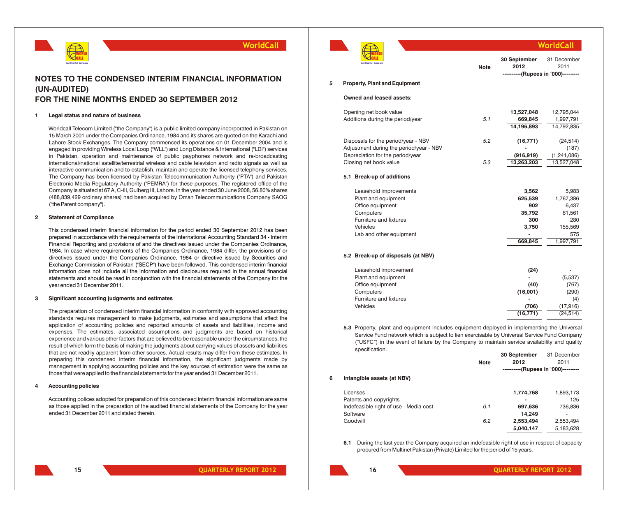

## **NOTES TO THE CONDENSED INTERIM FINANCIAL INFORMATION (UN-AUDITED) FOR THE NINE MONTHS ENDED 30 SEPTEMBER 2012**

#### **1 Legal status and nature of business**

Worldcall Telecom Limited ("the Company") is a public limited company incorporated in Pakistan on 15 March 2001 under the Companies Ordinance, 1984 and its shares are quoted on the Karachi and Lahore Stock Exchanges. The Company commenced its operations on 01 December 2004 and is engaged in providing Wireless Local Loop ("WLL") and Long Distance & International ("LDI") services in Pakistan, operation and maintenance of public payphones network and re-broadcasting international/national satellite/terrestrial wireless and cable television and radio signals as well as interactive communication and to establish, maintain and operate the licensed telephony services. The Company has been licensed by Pakistan Telecommunication Authority ("PTA") and Pakistan Electronic Media Regulatory Authority ("PEMRA") for these purposes. The registered office of the Company is situated at 67 A, C-III, Gulberg III, Lahore. In the year ended 30 June 2008, 56.80% shares (488,839,429 ordinary shares) had been acquired by Oman Telecommunications Company SAOG ("the Parent company").

### **2 Statement of Compliance**

This condensed interim financial information for the period ended 30 September 2012 has been prepared in accordance with the requirements of the International Accounting Standard 34 - Interim Financial Reporting and provisions of and the directives issued under the Companies Ordinance, 1984. In case where requirements of the Companies Ordinance, 1984 differ, the provisions of or directives issued under the Companies Ordinance, 1984 or directive issued by Securities and Exchange Commission of Pakistan ("SECP") have been followed. This condensed interim financial information does not include all the information and disclosures required in the annual financial statements and should be read in conjunction with the financial statements of the Company for the year ended 31 December 2011.

### **3 Significant accounting judgments and estimates**

The preparation of condensed interim financial information in conformity with approved accounting standards requires management to make judgments, estimates and assumptions that affect the application of accounting policies and reported amounts of assets and liabilities, income and expenses. The estimates, associated assumptions and judgments are based on historical experience and various other factors that are believed to be reasonable under the circumstances, the result of which form the basis of making the judgments about carrying values of assets and liabilities that are not readily apparent from other sources. Actual results may differ from these estimates. In preparing this condensed interim financial information, the significant judgments made by management in applying accounting policies and the key sources of estimation were the same as those that were applied to the financial statements for the year ended 31 December 2011.

### **4 Accounting policies**

Accounting polices adopted for preparation of this condensed interim financial information are same as those applied in the preparation of the audited financial statements of the Company for the year ended 31 December 2011 and stated therein.



|   |                                         |             |                                                             | WorldCal            |
|---|-----------------------------------------|-------------|-------------------------------------------------------------|---------------------|
|   | An Omantel Company                      | <b>Note</b> | 30 September<br>2012<br>----------(Rupees in '000)--------- | 31 December<br>2011 |
| 5 | <b>Property, Plant and Equipment</b>    |             |                                                             |                     |
|   | Owned and leased assets:                |             |                                                             |                     |
|   | Opening net book value                  |             | 13,527,048                                                  | 12,795,044          |
|   | Additions during the period/year        | 5.1         | 669,845                                                     | 1,997,791           |
|   |                                         |             | 14,196,893                                                  | 14,792,835          |
|   | Disposals for the period/year - NBV     | 5.2         | (16, 771)                                                   | (24, 514)           |
|   | Adjustment during the period/year - NBV |             |                                                             | (187)               |
|   | Depreciation for the period/year        |             | (916, 919)                                                  | (1, 241, 086)       |
|   | Closing net book value                  | 5.3         | 13,263,203                                                  | 13,527,048          |
|   | 5.1 Break-up of additions               |             |                                                             |                     |
|   | Leasehold improvements                  |             | 3,562                                                       | 5,983               |
|   | Plant and equipment                     |             | 625,539                                                     | 1,767,386           |
|   | Office equipment                        |             | 902                                                         | 6,437               |
|   | Computers                               |             | 35,792                                                      | 61,561              |
|   | Furniture and fixtures                  |             | 300                                                         | 280                 |
|   | Vehicles                                |             | 3,750                                                       | 155,569             |
|   | Lab and other equipment                 |             |                                                             | 575                 |
|   |                                         |             | 669,845                                                     | 1,997,791           |
|   | 5.2 Break-up of disposals (at NBV)      |             |                                                             |                     |
|   | Leasehold improvement                   |             | (24)                                                        |                     |
|   | Plant and equipment                     |             |                                                             | (5,537)             |
|   | Office equipment                        |             | (40)                                                        | (767)               |
|   | Computers                               |             | (16,001)                                                    | (290)               |
|   | Furniture and fixtures                  |             |                                                             | (4)                 |

**5.3** Property, plant and equipment includes equipment deployed in implementing the Universal Service Fund network which is subject to lien exercisable by Universal Service Fund Company ("USFC") in the event of failure by the Company to maintain service availability and quality specification.

Vehicles **(706)** (17,916)

|   |                                        |             | 30 September                        | 31 December              |
|---|----------------------------------------|-------------|-------------------------------------|--------------------------|
|   |                                        | <b>Note</b> | 2012                                | 2011                     |
|   |                                        |             | ----------(Rupees in '000)--------- |                          |
| 6 | Intangible assets (at NBV)             |             |                                     |                          |
|   | Licenses                               |             | 1,774,768                           | 1,893,173                |
|   | Patents and copyrights                 |             |                                     | 125                      |
|   | Indefeasible right of use - Media cost | 6.1         | 697,636                             | 736,836                  |
|   | Software                               |             | 14.249                              | $\overline{\phantom{a}}$ |
|   | Goodwill                               | 6.2         | 2,553,494                           | 2,553,494                |
|   |                                        |             | 5.040.147                           | 5,183,628                |

**6.1** During the last year the Company acquired an indefeasible right of use in respect of capacity procured from Multinet Pakistan (Private) Limited for the period of 15 years.

**15 QUARTERLY REPORT 2012**

**(16,771)** (24,514)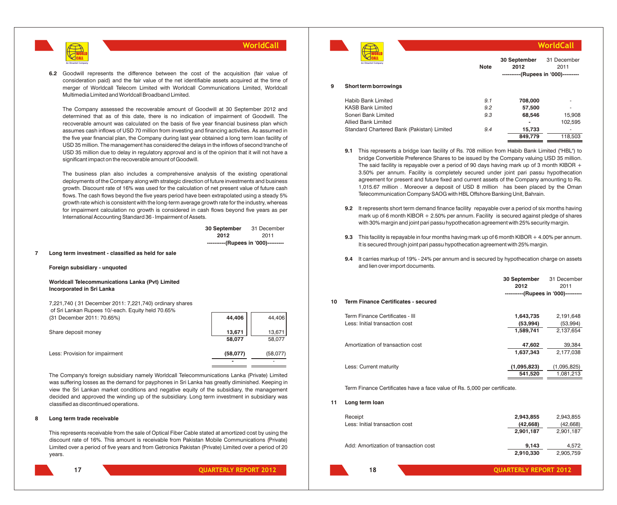

**6.2** Goodwill represents the difference between the cost of the acquisition (fair value of consideration paid) and the fair value of the net identifiable assets acquired at the time of merger of Worldcall Telecom Limited with Worldcall Communications Limited, Worldcall Multimedia Limited and Worldcall Broadband Limited.

The Company assessed the recoverable amount of Goodwill at 30 September 2012 and determined that as of this date, there is no indication of impairment of Goodwill. The recoverable amount was calculated on the basis of five year financial business plan which assumes cash inflows of USD 70 million from investing and financing activities. As assumed in the five year financial plan, the Company during last year obtained a long term loan facility of USD 35 million. The management has considered the delays in the inflows of second tranche of USD 35 million due to delay in regulatory approval and is of the opinion that it will not have a significant impact on the recoverable amount of Goodwill.

The business plan also includes a comprehensive analysis of the existing operational deployments of the Company along with strategic direction of future investments and business growth. Discount rate of 16% was used for the calculation of net present value of future cash flows. The cash flows beyond the five years period have been extrapolated using a steady 5% growth rate which is consistent with the long-term average growth rate for the industry, whereas for impairment calculation no growth is considered in cash flows beyond five years as per International Accounting Standard 36 - Impairment of Assets.

> **30 September** 31 December **2012** 2011 **----------(Rupees in '000)---------**

### **7 Long term investment - classified as held for sale**

#### **Foreign subsidiary - unquoted**

**Worldcall Telecommunications Lanka (Pvt) Limited Incorporated in Sri Lanka**

7,221,740 ( 31 December 2011: 7,221,740) ordinary shares of Sri Lankan Rupees 10/-each. Equity held 70.65% (31 December 2011: 70.65%) **44,406** 44,406

| Share deposit money            | 13,671   | 13,671   |
|--------------------------------|----------|----------|
|                                | 58,077   | 58,077   |
| Less: Provision for impairment | (58,077) | (58,077) |
|                                |          |          |

The Company's foreign subsidiary namely Worldcall Telecommunications Lanka (Private) Limited was suffering losses as the demand for payphones in Sri Lanka has greatly diminished. Keeping in view the Sri Lankan market conditions and negative equity of the subsidiary, the management decided and approved the winding up of the subsidiary. Long term investment in subsidiary was classified as discontinued operations.

### **8 Long term trade receivable**

This represents receivable from the sale of Optical Fiber Cable stated at amortized cost by using the discount rate of 16%. This amount is receivable from Pakistan Mobile Communications (Private) Limited over a period of five years and from Getronics Pakistan (Private) Limited over a period of 20 years.



**17 QUARTERLY REPORT 2012**

|   |                                            |             |                                                             | WorldCall           |
|---|--------------------------------------------|-------------|-------------------------------------------------------------|---------------------|
|   | An Omantel Company                         | <b>Note</b> | 30 September<br>2012<br>----------(Rupees in '000)--------- | 31 December<br>2011 |
| 9 | Short term borrowings                      |             |                                                             |                     |
|   | Habib Bank Limited                         | 9.1         | 708,000                                                     |                     |
|   | <b>KASB Bank Limited</b>                   | 9.2         | 57,500                                                      |                     |
|   | Soneri Bank Limited                        | 9.3         | 68,546                                                      | 15,908              |
|   | <b>Allied Bank Limited</b>                 |             |                                                             | 102,595             |
|   | Standard Chartered Bank (Pakistan) Limited | 9.4         | 15,733                                                      |                     |
|   |                                            |             | 849.779                                                     | 118,503             |
|   |                                            |             |                                                             |                     |

- **9.1** This represents a bridge loan facility of Rs. 708 million from Habib Bank Limited ("HBL") to bridge Convertible Preference Shares to be issued by the Company valuing USD 35 million. The said facility is repayable over a period of 90 days having mark up of 3 month KIBOR  $+$ 3.50% per annum. Facility is completely secured under joint pari passu hypothecation agreement for present and future fixed and current assets of the Company amounting to Rs. 1,015.67 million . Moreover a deposit of USD 8 million has been placed by the Oman Telecommunication Company SAOG with HBL Offshore Banking Unit, Bahrain.
- **9.2** It represents short term demand finance facility repayable over a period of six months having mark up of 6 month KIBOR + 2.50% per annum. Facility is secured against pledge of shares with 30% margin and joint pari passu hypothecation agreement with 25% security margin.
- **9.3** This facility is repayable in four months having mark up of 6 month KIBOR + 4.00% per annum. It is secured through joint pari passu hypothecation agreement with 25% margin.
- **9.4** It carries markup of 19% 24% per annum and is secured by hypothecation charge on assets and lien over import documents.

|    |                                            | 30 September<br>2012                | 31 December<br>2011 |
|----|--------------------------------------------|-------------------------------------|---------------------|
|    |                                            | ----------(Rupees in '000)--------- |                     |
| 10 | <b>Term Finance Certificates - secured</b> |                                     |                     |
|    | Term Finance Certificates - III            | 1,643,735                           | 2,191,648           |
|    | Less: Initial transaction cost             | (53,994)                            | (53,994)            |
|    |                                            | 1,589,741                           | 2,137,654           |
|    | Amortization of transaction cost           | 47,602                              | 39,384              |
|    |                                            | 1,637,343                           | 2,177,038           |
|    | Less: Current maturity                     | (1,095,823)                         | (1,095,825)         |
|    |                                            | 541,520                             | 1,081,213           |

Term Finance Certificates have a face value of Rs. 5,000 per certificate.

**11 Long term loan**

| Receipt<br>Less: Initial transaction cost | 2,943,855<br>(42,668)<br>2,901,187 | 2,943,855<br>(42, 668)<br>2,901,187 |
|-------------------------------------------|------------------------------------|-------------------------------------|
| Add: Amortization of transaction cost     | 9.143<br>2,910,330                 | 4.572<br>2,905,759                  |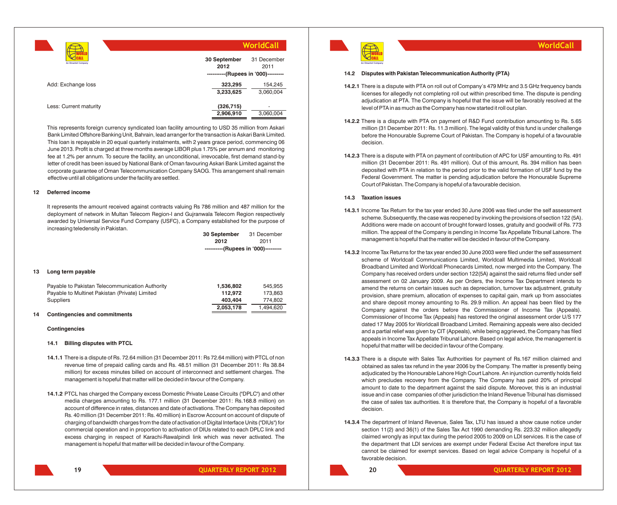|                        | WorldCall                                                   |                      |  |  |
|------------------------|-------------------------------------------------------------|----------------------|--|--|
| An Omantel Company     | 30 September<br>2012<br>----------(Rupees in '000)--------- | 31 December<br>2011  |  |  |
| Add: Exchange loss     | 323,295<br>3,233,625                                        | 154,245<br>3,060,004 |  |  |
| Less: Current maturity | (326, 715)<br>2,906,910                                     | ٠<br>3,060,004       |  |  |

This represents foreign currency syndicated loan facility amounting to USD 35 million from Askari Bank Limited Offshore Banking Unit, Bahrain, lead arranger for the transaction is Askari Bank Limited. This loan is repayable in 20 equal quarterly instalments, with 2 years grace period, commencing 06 June 2013. Profit is charged at three months average LIBOR plus 1.75% per annum and monitoring fee at 1.2% per annum. To secure the facility, an unconditional, irrevocable, first demand stand-by letter of credit has been issued by National Bank of Oman favouring Askari Bank Limited against the corporate guarantee of Oman Telecommunication Company SAOG. This arrangement shall remain effective until all obligations under the facility are settled.

### **12 Deferred income**

It represents the amount received against contracts valuing Rs 786 million and 487 million for the deployment of network in Multan Telecom Region-I and Gujranwala Telecom Region respectively awarded by Universal Service Fund Company (USFC), a Company established for the purpose of increasing teledensity in Pakistan.

| 30 September                        | 31 December |
|-------------------------------------|-------------|
| 2012                                | 2011        |
| ----------(Rupees in '000)--------- |             |

### **13 Long term payable**

| Payable to Pakistan Telecommunication Authority | 1.536.802 | 545.955   |
|-------------------------------------------------|-----------|-----------|
| Pavable to Multinet Pakistan (Private) Limited  | 112.972   | 173.863   |
| Suppliers                                       | 403.404   | 774.802   |
|                                                 | 2.053.178 | 1.494.620 |

### **14 Contingencies and commitments**

### **Contingencies**

### **14.1 Billing disputes with PTCL**

- **14.1.1** There is a dispute of Rs. 72.64 million (31 December 2011: Rs 72.64 million) with PTCL of non revenue time of prepaid calling cards and Rs. 48.51 million (31 December 2011: Rs 38.84 million) for excess minutes billed on account of interconnect and settlement charges. The management is hopeful that matter will be decided in favour of the Company.
- **14.1.2** PTCL has charged the Company excess Domestic Private Lease Circuits ("DPLC") and other media charges amounting to Rs. 177.1 million (31 December 2011: Rs.168.8 million) on account of difference in rates, distances and date of activations. The Company has deposited Rs. 40 million (31 December 2011: Rs. 40 million) in Escrow Account on account of dispute of charging of bandwidth charges from the date of activation of Digital Interface Units ("DIUs") for commercial operation and in proportion to activation of DIUs related to each DPLC link and excess charging in respect of Karachi-Rawalpindi link which was never activated. The management is hopeful that matter will be decided in favour of the Company.



### **14.2 Disputes with Pakistan Telecommunication Authority (PTA)**

**14.2.1** There is a dispute with PTA on roll out of Company's 479 MHz and 3.5 GHz frequency bands licenses for allegedly not completing roll out within prescribed time. The dispute is pending adjudication at PTA. The Company is hopeful that the issue will be favorably resolved at the level of PTA in as much as the Company has now started it roll out plan.

**WorldCall**

- **14.2.2** There is a dispute with PTA on payment of R&D Fund contribution amounting to Rs. 5.65 million (31 December 2011: Rs. 11.3 million). The legal validity of this fund is under challenge before the Honourable Supreme Court of Pakistan. The Company is hopeful of a favourable decision.
- **14.2.3** There is a dispute with PTA on payment of contribution of APC for USF amounting to Rs. 491 million (31 December 2011: Rs. 491 million). Out of this amount, Rs. 394 million has been deposited with PTA in relation to the period prior to the valid formation of USF fund by the Federal Government. The matter is pending adjudication before the Honourable Supreme Court of Pakistan. The Company is hopeful of a favourable decision.

### **14.3 Taxation issues**

- **14.3.1** Income Tax Return for the tax year ended 30 June 2006 was filed under the self assessment scheme. Subsequently, the case was reopened by invoking the provisions of section 122 (5A). Additions were made on account of brought forward losses, gratuity and goodwill of Rs. 773 million. The appeal of the Company is pending in Income Tax Appellate Tribunal Lahore. The management is hopeful that the matter will be decided in favour of the Company.
- **14.3.2** Income Tax Returns for the tax year ended 30 June 2003 were filed under the self assessment scheme of Worldcall Communications Limited, Worldcall Multimedia Limited, Worldcall Broadband Limited and Worldcall Phonecards Limited, now merged into the Company. The Company has received orders under section 122(5A) against the said returns filed under self assessment on 02 January 2009. As per Orders, the Income Tax Department intends to amend the returns on certain issues such as depreciation, turnover tax adjustment, gratuity provision, share premium, allocation of expenses to capital gain, mark up from associates and share deposit money amounting to Rs. 29.9 million. An appeal has been filed by the Company against the orders before the Commissioner of Income Tax (Appeals). Commissioner of Income Tax (Appeals) has restored the original assessment order U/S 177 dated 17 May 2005 for Worldcall Broadband Limited. Remaining appeals were also decided and a partial relief was given by CIT (Appeals), while being aggrieved, the Company has filed appeals in Income Tax Appellate Tribunal Lahore. Based on legal advice, the management is hopeful that matter will be decided in favour of the Company.
- **14.3.3** There is a dispute with Sales Tax Authorities for payment of Rs.167 million claimed and obtained as sales tax refund in the year 2006 by the Company. The matter is presently being adjudicated by the Honourable Lahore High Court Lahore. An injunction currently holds field which precludes recovery from the Company. The Company has paid 20% of principal amount to date to the department against the said dispute. Moreover, this is an industrial issue and in case companies of other jurisdiction the Inland Revenue Tribunal has dismissed the case of sales tax authorities. It is therefore that, the Company is hopeful of a favorable decision.
- **14.3.4** The department of Inland Revenue, Sales Tax, LTU has issued a show cause notice under section 11(2) and 36(1) of the Sales Tax Act 1990 demanding Rs. 223.32 million allegedly claimed wrongly as input tax during the period 2005 to 2009 on LDI services. It is the case of the department that LDI services are exempt under Federal Excise Act therefore input tax cannot be claimed for exempt services. Based on legal advice Company is hopeful of a favorable decision.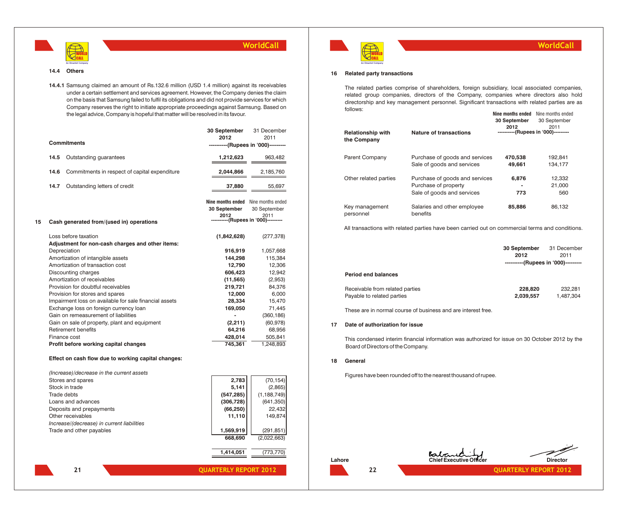

### **14.4 Others**

**14.4.1** Samsung claimed an amount of Rs.132.6 million (USD 1.4 million) against its receivables under a certain settlement and services agreement. However, the Company denies the claim on the basis that Samsung failed to fulfil its obligations and did not provide services for which Company reserves the right to initiate appropriate proceedings against Samsung. Based on the legal advice, Company is hopeful that matter will be resolved in its favour.

|    |      | <b>Commitments</b>                                                       | 30 September<br>2012                                        | 31 December<br>2011<br>----------(Rupees in '000)---------  |
|----|------|--------------------------------------------------------------------------|-------------------------------------------------------------|-------------------------------------------------------------|
|    | 14.5 | Outstanding guarantees                                                   | 1,212,623                                                   | 963,482                                                     |
|    | 14.6 | Commitments in respect of capital expenditure                            | 2,044,866                                                   | 2,185,760                                                   |
|    | 14.7 | Outstanding letters of credit                                            | 37,880                                                      | 55,697                                                      |
| 15 |      | Cash generated from/(used in) operations                                 | 30 September<br>2012<br>----------(Rupees in '000)--------- | Nine months ended Nine months ended<br>30 September<br>2011 |
|    |      | Loss before taxation<br>Adjustment for non-cash charges and other items: | (1,842,628)                                                 | (277, 378)                                                  |
|    |      | Depreciation                                                             | 916,919                                                     | 1,057,668                                                   |
|    |      | Amortization of intangible assets                                        | 144,298                                                     | 115,384                                                     |
|    |      | Amortization of transaction cost                                         | 12,790                                                      | 12,306                                                      |
|    |      | Discounting charges                                                      | 606,423                                                     | 12,942                                                      |
|    |      | Amortization of receivables                                              | (11, 565)                                                   | (2,953)                                                     |
|    |      | Provision for doubtful receivables                                       | 219,721                                                     | 84,376                                                      |
|    |      | Provision for stores and spares                                          | 12,000                                                      | 6,000                                                       |
|    |      | Impairment loss on available for sale financial assets                   | 28,334                                                      | 15,470                                                      |
|    |      | Exchange loss on foreign currency loan                                   | 169,050                                                     | 71,445                                                      |
|    |      | Gain on remeasurement of liabilities                                     | $\overline{a}$                                              | (360, 186)                                                  |
|    |      | Gain on sale of property, plant and equipment                            | (2,211)                                                     | (60, 978)                                                   |
|    |      | Retirement benefits                                                      | 64,216                                                      | 68,956                                                      |
|    |      | Finance cost                                                             | 428,014<br>745,361                                          | 505,841<br>1,248,893                                        |
|    |      | Profit before working capital changes                                    |                                                             |                                                             |

### **Effect on cash flow due to working capital changes:**

| (Increase)/decrease in the current assets  |            |               |
|--------------------------------------------|------------|---------------|
| Stores and spares                          | 2.783      | (70, 154)     |
| Stock in trade                             | 5,141      | (2,865)       |
| Trade debts                                | (547, 285) | (1, 188, 749) |
| Loans and advances                         | (306, 728) | (641, 350)    |
| Deposits and prepayments                   | (66, 250)  | 22,432        |
| Other receivables                          | 11.110     | 149.874       |
| Increase/(decrease) in current liabilities |            |               |
| Trade and other payables                   | 1,569,919  | (291, 851)    |
|                                            | 668,690    | (2,022,663)   |
|                                            |            |               |





30 September

**Nine months ended** Nine months ended

**30 September**

### **16 Related party transactions**

The related parties comprise of shareholders, foreign subsidiary, local associated companies, related group companies, directors of the Company, companies where directors also hold directorship and key management personnel. Significant transactions with related parties are as follows:

| <b>Relationship with</b><br>the Company | <b>Nature of transactions</b>                                                        | <b>30 September</b><br>2012 | 30 September<br>2011<br>----------(Rupees in '000)--------- |
|-----------------------------------------|--------------------------------------------------------------------------------------|-----------------------------|-------------------------------------------------------------|
| Parent Company                          | Purchase of goods and services<br>Sale of goods and services                         | 470.538<br>49,661           | 192.841<br>134.177                                          |
| Other related parties                   | Purchase of goods and services<br>Purchase of property<br>Sale of goods and services | 6,876<br>773                | 12,332<br>21.000<br>560                                     |
| Key management<br>personnel             | Salaries and other employee<br>benefits                                              | 85,886                      | 86.132                                                      |

All transactions with related parties have been carried out on commercial terms and conditions.

|                                                               | 30 September<br>2012<br>----------(Rupees in '000)--------- | 31 December<br>2011  |
|---------------------------------------------------------------|-------------------------------------------------------------|----------------------|
| <b>Period end balances</b>                                    |                                                             |                      |
| Receivable from related parties<br>Payable to related parties | 228,820<br>2,039,557                                        | 232.281<br>1,487,304 |

These are in normal course of business and are interest free.

### **17 Date of authorization for issue**

This condensed interim financial information was authorized for issue on 30 October 2012 by the Board of Directors of the Company.

### **18 General**

Figures have been rounded off to the nearest thousand of rupee.

**21 QUARTERLY REPORT 2012**

**1,414,051** (773,770)





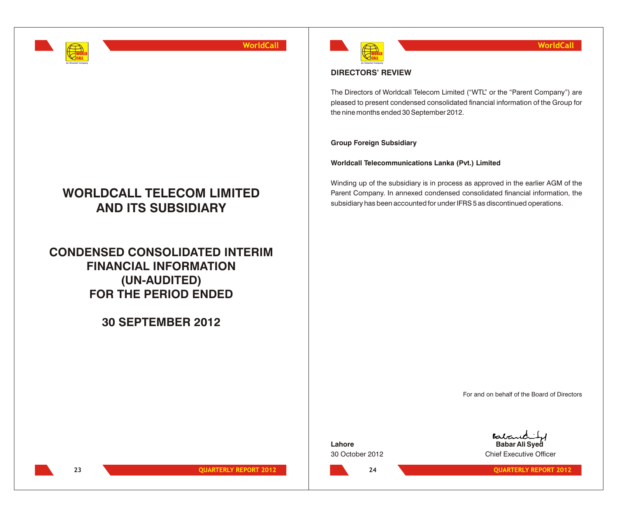

## **WORLDCALL TELECOM LIMITED AND ITS SUBSIDIARY**

**CONDENSED CONSOLIDATED INTERIM FINANCIAL INFORMATION (UN-AUDITED) FOR THE PERIOD ENDED**

**30 SEPTEMBER 2012**



## **DIRECTORS' REVIEW**

The Directors of Worldcall Telecom Limited ("WTL" or the "Parent Company") are pleased to present condensed consolidated financial information of the Group for the nine months ended 30 September 2012.

**Group Foreign Subsidiary**

**Worldcall Telecommunications Lanka (Pvt.) Limited**

Winding up of the subsidiary is in process as approved in the earlier AGM of the Parent Company. In annexed condensed consolidated financial information, the subsidiary has been accounted for under IFRS 5 as discontinued operations.

For and on behalf of the Board of Directors

Baban **Lahore Babar Ali Syed** 30 October 2012 Chief Executive Officer

**23 QUARTERLY REPORT 2012**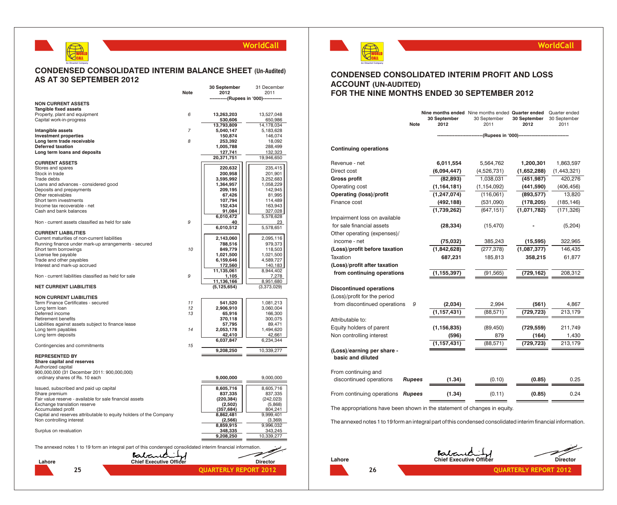## **CONDENSED CONSOLIDATED INTERIM BALANCE SHEET (Un-Audited) AS AT 30 SEPTEMBER 2012**

WORLD CALL **An Omantel Company**

|                                                                                                               |                | 30 September                   | 31 December            |
|---------------------------------------------------------------------------------------------------------------|----------------|--------------------------------|------------------------|
|                                                                                                               | Note           | 2012                           | 2011                   |
| <b>NON CURRENT ASSETS</b>                                                                                     |                | -----------(Rupees in '000)--- |                        |
| Tangible fixed assets                                                                                         |                |                                |                        |
| Property, plant and equipment                                                                                 | 6              | 13,263,203                     | 13,527,048             |
| Capital work-in-progress                                                                                      |                | 530,606                        | 650,986                |
|                                                                                                               |                | 13,793,809                     | 14,178,034             |
| Intangible assets                                                                                             | $\overline{7}$ | 5,040,147                      | 5,183,628              |
| <b>Investment properties</b>                                                                                  |                | 150,874                        | 146,074                |
| Long term trade receivable                                                                                    | 8              | 253,392                        | 18,092                 |
| Deferred taxation                                                                                             |                | 1,005,788                      | 288,499                |
| Long term loans and deposits                                                                                  |                | 127,741                        | 132,323                |
|                                                                                                               |                | 20,371,751                     | 19,946,650             |
| <b>CURRENT ASSETS</b>                                                                                         |                |                                |                        |
| Stores and spares                                                                                             |                | 220,632                        | 235,415                |
| Stock in trade                                                                                                |                | 200,958                        | 201,901                |
| Trade debts                                                                                                   |                | 3,595,992                      | 3,252,683              |
| Loans and advances - considered good                                                                          |                | 1,364,957                      | 1,058,229              |
| Deposits and prepayments<br>Other receivables                                                                 |                | 209,195<br>67,426              | 142,945<br>81,995      |
| Short term investments                                                                                        |                |                                |                        |
| Income tax recoverable - net                                                                                  |                | 107,794<br>152,434             | 114,489                |
| Cash and bank balances                                                                                        |                |                                | 163,943                |
|                                                                                                               |                | 91,084                         | 327,028                |
|                                                                                                               |                | 6,010,472                      | 5,578,628              |
| Non - current assets classified as held for sale                                                              | 9              | 40                             | 23                     |
|                                                                                                               |                | 6,010,512                      | 5,578,651              |
| <b>CURRENT LIABILITIES</b>                                                                                    |                |                                |                        |
| Current maturities of non-current liabilities                                                                 |                | 2,143,060                      | 2,095,116              |
| Running finance under mark-up arrangements - secured                                                          |                | 788,516                        | 979,373                |
| Short term borrowings                                                                                         | 10             | 849,779                        | 118,503                |
| License fee payable                                                                                           |                | 1,021,500                      | 1,021,500              |
| Trade and other payables                                                                                      |                | 6,159,646                      | 4,589,727              |
| Interest and mark-up accrued                                                                                  |                | 172,560                        | 140.183                |
|                                                                                                               |                | 11,135,061                     | 8,944,402              |
| Non - current liabilities classified as held for sale                                                         | 9              | 1,105                          | 7,278                  |
|                                                                                                               |                | 11,136,166                     | 8,951,680              |
| <b>NET CURRENT LIABILITIES</b>                                                                                |                | (5, 125, 654)                  | (3,373,029)            |
| <b>NON CURRENT LIABILITIES</b>                                                                                |                |                                |                        |
|                                                                                                               | 11             |                                |                        |
| Term Finance Certificates - secured<br>Long term loan                                                         | 12             | 541,520                        | 1,081,213<br>3,060,004 |
| Deferred income                                                                                               | 13             | 2,906,910<br>65,916            | 166,300                |
| <b>Retirement benefits</b>                                                                                    |                | 370,118                        | 300,075                |
| Liabilities against assets subject to finance lease                                                           |                |                                | 89,471                 |
| Long term payables                                                                                            | 14             | 57,795<br>2,053,178            | 1,494,620              |
| Long term deposits                                                                                            |                | 42,410                         | 42,661                 |
|                                                                                                               |                | 6,037,847                      | 6,234,344              |
| Contingencies and commitments                                                                                 | 15             |                                |                        |
|                                                                                                               |                | 9,208,250                      | 10,339,277             |
| <b>REPRESENTED BY</b>                                                                                         |                |                                |                        |
|                                                                                                               |                |                                |                        |
| Share capital and reserves                                                                                    |                |                                |                        |
| Authorized capital<br>900,000,000 (31 December 2011: 900,000,000)                                             |                |                                |                        |
|                                                                                                               |                |                                |                        |
| ordinary shares of Rs. 10 each                                                                                |                | 9,000,000                      | 9,000,000              |
|                                                                                                               |                |                                |                        |
| Issued, subscribed and paid up capital<br>Share premium                                                       |                | 8,605,716<br>837,335           | 8,605,716<br>837,335   |
|                                                                                                               |                |                                |                        |
| Fair value reserve - available for sale financial assets                                                      |                | (220, 384)                     | (242, 023)             |
| Exchange translation reserve<br>Accumulated profit                                                            |                | (2,502)<br>(357, 684)          | (5,868)<br>804,241     |
|                                                                                                               |                |                                |                        |
| Capital and reserves attributable to equity holders of the Company<br>Non controlling interest                |                | 8,862,481<br>(2, 566)          | 9,999,401<br>(3,369)   |
|                                                                                                               |                | 8,859,915                      | 9,996,032              |
| Surplus on revaluation                                                                                        |                | 348,335                        | 343,245                |
|                                                                                                               |                | 9,208,250                      | 10,339,277             |
|                                                                                                               |                |                                |                        |
| The annexed notes 1 to 19 form an integral part of this condensed consolidated interim financial information. |                |                                |                        |
|                                                                                                               |                |                                |                        |
| Babarel                                                                                                       |                |                                |                        |
| <b>Chief Executive Officer</b><br>Lahore                                                                      |                |                                | <b>Director</b>        |
|                                                                                                               |                |                                |                        |
| 25                                                                                                            |                | <b>QUARTERLY</b>               | <b>REPORT</b><br>2012  |



### **WorldCall**

### **CONDENSED CONSOLIDATED INTERIM PROFIT AND LOSS ACCOUNT (UN-AUDITED) FOR THE NINE MONTHS ENDED 30 SEPTEMBER 2012**

|                                                 | <b>Note</b>   | 30 September<br>2012 | Nine months ended Nine months ended Quarter ended<br>30 September<br>2011 | 30 September<br>2012 | Quarter ended<br>30 September<br>2011 |
|-------------------------------------------------|---------------|----------------------|---------------------------------------------------------------------------|----------------------|---------------------------------------|
|                                                 |               |                      | ----------------(Rupees in '000)-----------------                         |                      |                                       |
| <b>Continuing operations</b>                    |               |                      |                                                                           |                      |                                       |
| Revenue - net                                   |               | 6,011,554            | 5,564,762                                                                 | 1,200,301            | 1,863,597                             |
| Direct cost                                     |               | (6,094,447)          | (4,526,731)                                                               | (1,652,288)          | (1,443,321)                           |
| <b>Gross profit</b>                             |               | (82, 893)            | 1,038,031                                                                 | (451, 987)           | 420,276                               |
| Operating cost                                  |               | (1, 164, 181)        | (1, 154, 092)                                                             | (441, 590)           | (406, 456)                            |
| <b>Operating (loss)/profit</b>                  |               | (1, 247, 074)        | (116,061)                                                                 | (893, 577)           | 13,820                                |
| Finance cost                                    |               | (492, 188)           | (531,090)                                                                 | (178, 205)           | (185, 146)                            |
|                                                 |               | (1,739,262)          | (647, 151)                                                                | (1,071,782)          | (171, 326)                            |
| Impairment loss on available                    |               |                      |                                                                           |                      |                                       |
| for sale financial assets                       |               | (28, 334)            | (15, 470)                                                                 |                      | (5,204)                               |
| Other operating (expenses)/                     |               |                      |                                                                           |                      |                                       |
| income - net                                    |               | (75, 032)            | 385,243                                                                   | (15, 595)            | 322,965                               |
| (Loss)/profit before taxation                   |               | (1,842,628)          | (277, 378)                                                                | (1,087,377)          | 146,435                               |
| Taxation                                        |               | 687,231              | 185,813                                                                   | 358,215              | 61,877                                |
| (Loss)/profit after taxation                    |               |                      |                                                                           |                      |                                       |
| from continuing operations                      |               | (1,155,397)          | (91, 565)                                                                 | (729,162)            | 208,312                               |
| <b>Discontinued operations</b>                  |               |                      |                                                                           |                      |                                       |
| (Loss)/profit for the period                    |               |                      |                                                                           |                      |                                       |
| from discontinued operations                    | 9             | (2,034)              | 2,994                                                                     | (561)                | 4,867                                 |
|                                                 |               | (1, 157, 431)        | (88, 571)                                                                 | (729, 723)           | 213,179                               |
| Attributable to:                                |               |                      |                                                                           |                      |                                       |
| Equity holders of parent                        |               | (1, 156, 835)        | (89, 450)                                                                 | (729, 559)           | 211,749                               |
| Non controlling interest                        |               | (596)                | 879                                                                       | (164)                | 1,430                                 |
|                                                 |               | (1, 157, 431)        | (88, 571)                                                                 | (729, 723)           | 213,179                               |
| (Loss)/earning per share -<br>basic and diluted |               |                      |                                                                           |                      |                                       |
| From continuing and                             |               |                      |                                                                           |                      |                                       |
| discontinued operations                         | <b>Rupees</b> | (1.34)               | (0.10)                                                                    | (0.85)               | 0.25                                  |
| From continuing operations                      | <b>Rupees</b> | (1.34)               | (0.11)                                                                    | (0.85)               | 0.24                                  |

The appropriations have been shown in the statement of changes in equity.

The annexed notes 1 to 19 form an integral part of this condensed consolidated interim financial information.

**Lahore Chief Executive Officer Director**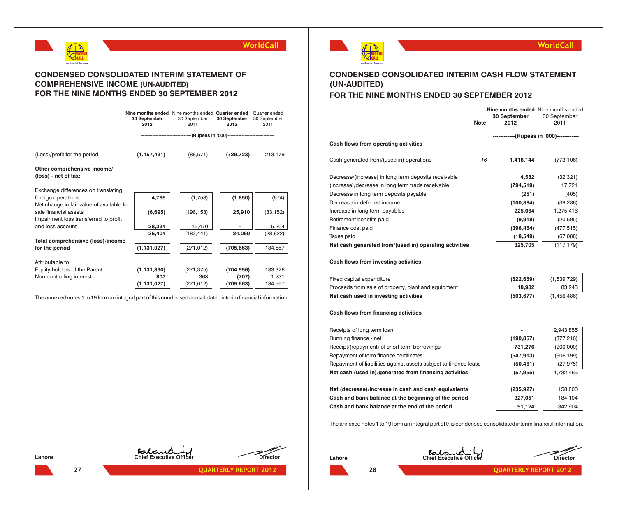

## **CONDENSED CONSOLIDATED INTERIM STATEMENT OF COMPREHENSIVE INCOME (UN-AUDITED) FOR THE NINE MONTHS ENDED 30 SEPTEMBER 2012**

|                                                                                                             | 30 September<br>2012 | Nine months ended Nine months ended Quarter ended<br>30 September<br>2011 | 30 September<br>2012 | Quarter ended<br>30 September<br>2011 |
|-------------------------------------------------------------------------------------------------------------|----------------------|---------------------------------------------------------------------------|----------------------|---------------------------------------|
|                                                                                                             |                      | ------------(Rupees in '000)-------------------------------               |                      |                                       |
| (Loss)/profit for the period                                                                                | (1, 157, 431)        | (88, 571)                                                                 | (729, 723)           | 213,179                               |
| Other comprehensive income/<br>(loss) - net of tax:                                                         |                      |                                                                           |                      |                                       |
| Exchange differences on translating                                                                         |                      |                                                                           |                      |                                       |
| foreign operations                                                                                          | 4,765                | (1,758)                                                                   | (1, 850)             | (674)                                 |
| Net change in fair value of available for<br>sale financial assets<br>Impairment loss transferred to profit | (6,695)              | (196, 153)                                                                | 25,910               | (33, 152)                             |
| and loss account                                                                                            | 28,334               | 15,470                                                                    |                      | 5,204                                 |
|                                                                                                             | 26,404               | (182, 441)                                                                | 24,060               | (28, 622)                             |
| Total comprehensive (loss)/income                                                                           |                      |                                                                           |                      |                                       |
| for the period                                                                                              | (1, 131, 027)        | (271,012)                                                                 | (705, 663)           | 184,557                               |
| Attributable to:                                                                                            |                      |                                                                           |                      |                                       |
| Equity holders of the Parent                                                                                | (1, 131, 830)        | (271, 375)                                                                | (704, 956)           | 183,326                               |
| Non controlling interest                                                                                    | 803                  | 363                                                                       | (707)                | 1,231                                 |
|                                                                                                             | (1, 131, 027)        | (271, 012)                                                                | (705, 663)           | 184,557                               |
|                                                                                                             |                      |                                                                           |                      |                                       |

The annexed notes 1 to 19 form an integral part of this condensed consolidated interim financial information.



**WorldCall**

## **CONDENSED CONSOLIDATED INTERIM CASH FLOW STATEMENT (UN-AUDITED) FOR THE NINE MONTHS ENDED 30 SEPTEMBER 2012**

|                                                        | <b>Note</b> | Nine months ended Nine months ended<br><b>30 September</b><br>2012 | 30 September<br>2011 |
|--------------------------------------------------------|-------------|--------------------------------------------------------------------|----------------------|
|                                                        |             | -------------(Rupees in '000)-------------                         |                      |
| Cash flows from operating activities                   |             |                                                                    |                      |
| Cash generated from/(used in) operations               | 16          | 1,416,144                                                          | (773, 106)           |
| Decrease/(increase) in long term deposits receivable   |             | 4,582                                                              | (32, 321)            |
| (Increase)/decrease in long term trade receivable      |             | (794, 519)                                                         | 17,721               |
| Decrease in long term deposits payable                 |             | (251)                                                              | (405)                |
| Decrease in deferred income                            |             | (100, 384)                                                         | (39, 286)            |
| Increase in long term payables                         |             | 225,064                                                            | 1,275,416            |
| Retirement benefits paid                               |             | (9,918)                                                            | (20, 595)            |
| Finance cost paid                                      |             | (396, 464)                                                         | (477, 515)           |
| Taxes paid                                             |             | (18, 549)                                                          | (67,088)             |
| Net cash generated from/(used in) operating activities |             | 325,705                                                            | (117, 179)           |
| Cash flows from investing activities                   |             |                                                                    |                      |

| Proceeds from sale of property, plant and equipment | $18,982$  | 83,243      |
|-----------------------------------------------------|-----------|-------------|
| Net cash used in investing activities               | (503.677) | (1.456.486) |

### **Cash flows from financing activities**

| Receipts of long term loan                                       |            | 2,943,855  |
|------------------------------------------------------------------|------------|------------|
| Running finance - net                                            | (190, 857) | (377, 216) |
| Receipt/(repayment) of short term borrowings                     | 731,276    | (200,000)  |
| Repayment of term finance certificates                           | (547, 913) | (606, 199) |
| Repayment of liabilities against assets subject to finance lease | (50, 461)  | (27, 975)  |
| Net cash (used in)/generated from financing activities           | (57,955)   | 1,732,465  |
|                                                                  |            |            |
| Net (decrease)/increase in cash and cash equivalents             | (235, 927) | 158,800    |
| Cash and bank balance at the beginning of the period             | 327,051    | 184,104    |
| Cash and bank balance at the end of the period                   | 91,124     | 342.904    |

The annexed notes 1 to 19 form an integral part of this condensed consolidated interim financial information.

|        | Babarad I |                 |
|--------|-----------|-----------------|
| Lahore |           | <b>Director</b> |

**28 QUARTERLY REPORT 2012**



**Lahore Chief Executive Officer Director**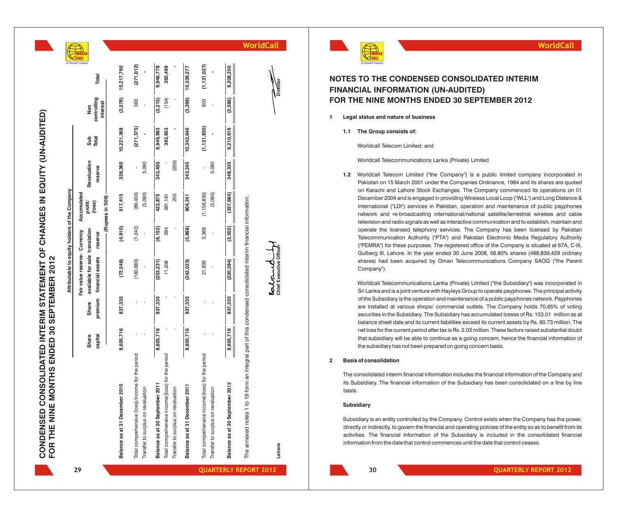CONDENSED CONSOLIDATED INTERIM STATEMENT OF CHANGES IN EQUITY (UN-AUDITED)<br>FOR THE NINE MONTHS ENDED 30 SEPTEMBER 2012 **CONDENSED CONSOLIDATED INTERIM STATEMENT OF CHANGES IN EQUITY (UN-AUDITED) FOR THE NINE MONTHS ENDED 30 SEPTEMBER 2012** **A n O m a n**

of the Com

holders

equity  $\overline{5}$ 

Attributable 1

|    |                                                                                                                         |                       |                  | Attributable to equity holders of the Company                                      |                 |                                                            |                        |                      |                                |                      |         |
|----|-------------------------------------------------------------------------------------------------------------------------|-----------------------|------------------|------------------------------------------------------------------------------------|-----------------|------------------------------------------------------------|------------------------|----------------------|--------------------------------|----------------------|---------|
| 29 |                                                                                                                         | Share<br>capital<br>l | premium<br>Share | available for sale translation<br>Fair value reserve- Currency<br>financial assets | reserve         | --- (Rupes in 000) ---<br>Accumulated<br>profit/<br>(loss) | Revaluation<br>reserve | Total<br>Sub         | controlling<br>interest<br>Non | Total                |         |
|    | Balance as at 31 December 2010                                                                                          | 8,605,716             | 837,335          | (72,548)                                                                           | (4,910)         | 517,415                                                    | 338,360                | 10,221,368           | (3,578)                        | 10,217,790           |         |
|    | Total comprehensive (loss)/income for the period<br>Transfer to surplus on revaluation                                  |                       |                  | (180, 683)                                                                         | (1,242)         | (89,450)<br>(5,090)                                        | 5,090                  | (271, 375)           | 363                            | (271, 012)           |         |
|    | Total comprehensive income/(loss) for the period<br>Balance as at 30 September 20<br>Transfer to surplus on revaluation | 8,605,716             | 837,335          | (253, 231)<br>11,208                                                               | (6, 152)<br>284 | 422,875<br>205<br>381,161                                  | (205)<br>343,450       | 9,949,993<br>392,653 | (154)<br>(3,215)               | 9,946,778<br>392,499 |         |
|    | Balance as at 31 December 2011                                                                                          | 8,605,716             | 837,335          | (242, 023)                                                                         | (5,868)         | 804,241                                                    | 343,245                | 10,342,646           | (3,369)                        | 10,339,277           |         |
|    | Total comprehensive income/(loss) for the period<br>Transfer to surplus on revaluation                                  |                       |                  | 21,639                                                                             | 3,366           | (1, 156, 835)<br>(5,090)                                   | 5,090                  | (1, 131, 830)        | 803                            | (1, 131, 027)        |         |
|    | Balance as at 30 September 2012                                                                                         | 8,605,716             | 837,335          | (220, 384)                                                                         | (2,502)         | (357, 684)                                                 | 348,335                | 9,210,816            | (2,566)                        | 9,208,250            |         |
|    | The annexed notes 1 to 19 form an integral part of this condensed consolidated interim financial information.           |                       |                  |                                                                                    |                 |                                                            |                        |                      |                                |                      | WorldCa |
|    |                                                                                                                         |                       |                  | estant                                                                             |                 |                                                            |                        |                      |                                |                      |         |

## **NOTES TO THE CONDENSED CONSOLIDATED INTERIM FINANCIAL INFORMATION (UN-AUDITED) FOR THE NINE MONTHS ENDED 30 SEPTEMBER 2012**

- **1 Legal status and nature of business**
	- **1.1 The Group consists of:**

Worldcall Telecom Limited; and

Worldcall Telecommunications Lanka (Private) Limited

1.2 Worldcall Telecom Limited ("the Company") is a public limited company incorporated in Pakistan on 15 March 2001 under the Companies Ordinance, 1984 and its shares are quoted on Karachi and Lahore Stock Exchanges. The Company commenced its operations on 01 December 2004 and is engaged in providing Wireless Local Loop ("WLL") and Long Distance & International ("LDI") services in Pakistan, operation and maintenance of public payphones network and re-broadcasting international/national satellite/terrestrial wireless and cable television and radio signals as well as interactive communication and to establish, maintain and operate the licensed telephony services. The Company has been licensed by Pakistan Telecommunication Authority ("PTA") and Pakistan Electronic Media Regulatory Authority ("PEMRA") for these purposes. The registered office of the Company is situated at 67A, C-III, Gulberg III, Lahore. In the year ended 30 June 2008, 56.80% shares (488,839,429 ordinary shares) had been acquired by Oman Telecommunications Company SAOG ("the Parent Company"). **EXECUTE AND THE CONDENSED CONSOLIDATED INTERIM<br>
<b>EXECUTE AND THE CONDENSED CONSOLIDATED**<br> **THE NINE MONITHS ENDED 30 SEPTEMBER 2012**<br> **CHOM THE NINE MONITHS ENDED 30 SEPTEMBER 2012**<br> **CHOM THE NINE MONITHS ENDED 30 SEPTEM** 

Worldcall Telecommunications Lanka (Private) Limited ("the Subsidiary") was incorporated in Sri Lanka and is a joint venture with Hayleys Group to operate payphones. The principal activity of the Subsidiary is the operation and maintenance of a public payphones network. Payphones are installed at various shops/ commercial outlets. The Company holds 70.65% of voting securities in the Subsidiary. The Subsidiary has accumulated losses of Rs. 153.01 million as at balance sheet date and its current liabilities exceed its current assets by Rs. 60.73 million. The net loss for the current period after tax is Rs. 2.03 million. These factors raised substantial doubt that subsidiary will be able to continue as a going concern, hence the financial information of the subsidiary has not been prepared on going concern basis.

### **2 Basis of consolidation**

The consolidated interim financial information includes the financial information of the Company and its Subsidiary. The financial information of the Subsidiary has been consolidated on a line by line basis.

### **Subsidiary**

Subsidiary is an entity controlled by the Company. Control exists when the Company has the power, directly or indirectly, to govern the financial and operating policies of the entity so as to benefit from its activities. The financial information of the Subsidiary is included in the consolidated financial

**2012 QUARTERLY REPORT 2012** 





**WorldCall**

Vieg<br>Vieg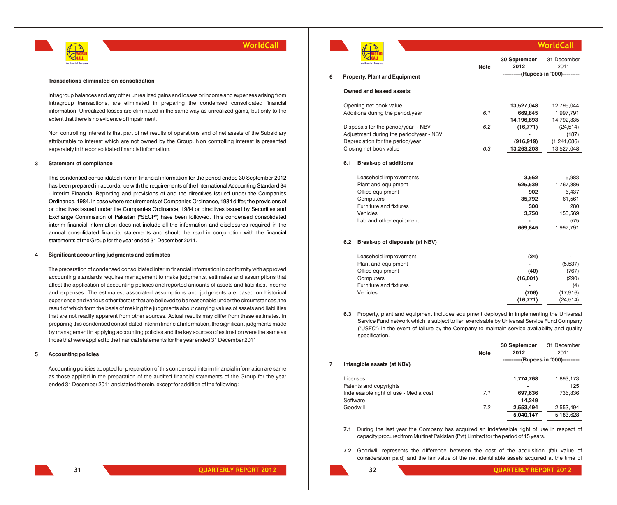

#### **Transactions eliminated on consolidation**

Intragroup balances and any other unrealized gains and losses or income and expenses arising from intragroup transactions, are eliminated in preparing the condensed consolidated financial information. Unrealized losses are eliminated in the same way as unrealized gains, but only to the extent that there is no evidence of impairment.

Non controlling interest is that part of net results of operations and of net assets of the Subsidiary attributable to interest which are not owned by the Group. Non controlling interest is presented separately in the consolidated financial information.

#### **3 Statement of compliance**

This condensed consolidated interim financial information for the period ended 30 September 2012 has been prepared in accordance with the requirements of the International Accounting Standard 34 - Interim Financial Reporting and provisions of and the directives issued under the Companies Ordinance, 1984. In case where requirements of Companies Ordinance, 1984 differ, the provisions of or directives issued under the Companies Ordinance, 1984 or directives issued by Securities and Exchange Commission of Pakistan ("SECP") have been followed. This condensed consolidated interim financial information does not include all the information and disclosures required in the annual consolidated financial statements and should be read in conjunction with the financial statements of the Group for the year ended 31 December 2011.

### **4 Significant accounting judgments and estimates**

The preparation of condensed consolidated interim financial information in conformity with approved accounting standards requires management to make judgments, estimates and assumptions that affect the application of accounting policies and reported amounts of assets and liabilities, income and expenses. The estimates, associated assumptions and judgments are based on historical experience and various other factors that are believed to be reasonable under the circumstances, the result of which form the basis of making the judgments about carrying values of assets and liabilities that are not readily apparent from other sources. Actual results may differ from these estimates. In preparing this condensed consolidated interim financial information, the significant judgments made by management in applying accounting policies and the key sources of estimation were the same as those that were applied to the financial statements for the year ended 31 December 2011.

### **5 Accounting policies**

Accounting policies adopted for preparation of this condensed interim financial information are same as those applied in the preparation of the audited financial statements of the Group for the year ended 31 December 2011 and stated therein, except for addition of the following:



|   | An Omantel Company                   | <b>Note</b> | 30 September<br>2012                | 31 December<br>2011 |
|---|--------------------------------------|-------------|-------------------------------------|---------------------|
| 6 | <b>Property, Plant and Equipment</b> |             | ----------(Rupees in '000)--------- |                     |
|   | Owned and leased assets:             |             |                                     |                     |
|   | Opening net book value               |             | 13,527,048                          | 12.795.044          |
|   | Additione during the period wear     | 61          | GGO OAK                             | 1.007.701           |

|     | Additions during the period/year        | 6.1 | 669.845    | 1,997,791   |
|-----|-----------------------------------------|-----|------------|-------------|
|     |                                         |     | 14,196,893 | 14,792,835  |
|     | Disposals for the period/year - NBV     | 6.2 | (16, 771)  | (24, 514)   |
|     | Adjustment during the period/year - NBV |     |            | (187)       |
|     | Depreciation for the period/year        |     | (916, 919) | (1,241,086) |
|     | Closing net book value                  | 6.3 | 13,263,203 | 13,527,048  |
| 6.1 | <b>Break-up of additions</b>            |     |            |             |
|     | Leasehold improvements                  |     | 3,562      | 5,983       |
|     | Plant and equipment                     |     | 625,539    | 1,767,386   |
|     | Office equipment                        |     | 902        | 6,437       |
|     | Computers                               |     | 35,792     | 61,561      |
|     | Furniture and fixtures                  |     | 300        | 280         |
|     | <b>Vehicles</b>                         |     | 3,750      | 155,569     |
|     | Lab and other equipment                 |     |            | 575         |
|     |                                         |     | 669,845    | 1,997,791   |
|     |                                         |     |            |             |

**WorldCall**

### **6.2 Break-up of disposals (at NBV)**

| Leasehold improvement  | (24)      | ۰         |
|------------------------|-----------|-----------|
| Plant and equipment    | -         | (5,537)   |
| Office equipment       | (40)      | (767)     |
| Computers              | (16,001)  | (290)     |
| Furniture and fixtures |           | (4)       |
| Vehicles               | (706)     | (17,916)  |
|                        | (16, 771) | (24, 514) |

**6.3** Property, plant and equipment includes equipment deployed in implementing the Universal Service Fund network which is subject to lien exercisable by Universal Service Fund Company ("USFC") in the event of failure by the Company to maintain service availability and quality specification.

|   |                                        |             | 30 September                        | 31 December |
|---|----------------------------------------|-------------|-------------------------------------|-------------|
|   |                                        | <b>Note</b> | 2012                                | 2011        |
| 7 | Intangible assets (at NBV)             |             | ----------(Rupees in '000)--------- |             |
|   | Licenses                               |             | 1,774,768                           | 1,893,173   |
|   | Patents and copyrights                 |             | $\overline{\phantom{0}}$            | 125         |
|   | Indefeasible right of use - Media cost | 7.1         | 697,636                             | 736,836     |
|   | Software                               |             | 14,249                              |             |
|   | Goodwill                               | 7.2         | 2,553,494                           | 2.553.494   |
|   |                                        |             | 5,040,147                           | 5,183,628   |
|   |                                        |             |                                     |             |

**7.1** During the last year the Company has acquired an indefeasible right of use in respect of capacity procured from Multinet Pakistan (Pvt) Limited for the period of 15 years.

**7.2** Goodwill represents the difference between the cost of the acquisition (fair value of consideration paid) and the fair value of the net identifiable assets acquired at the time of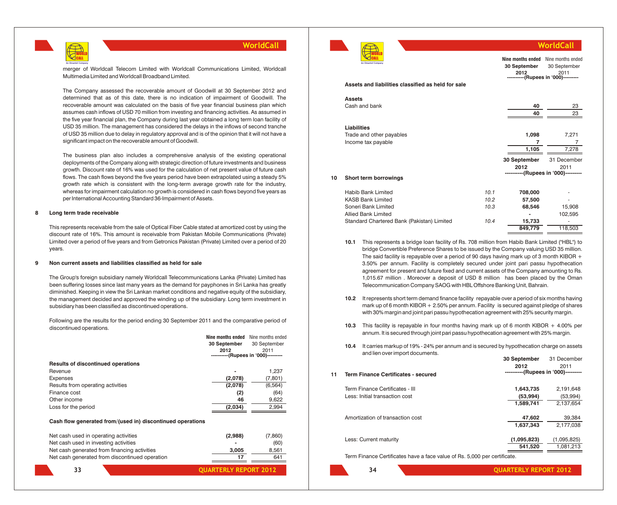

merger of Worldcall Telecom Limited with Worldcall Communications Limited, Worldcall Multimedia Limited and Worldcall Broadband Limited.

The Company assessed the recoverable amount of Goodwill at 30 September 2012 and determined that as of this date, there is no indication of impairment of Goodwill. The recoverable amount was calculated on the basis of five year financial business plan which assumes cash inflows of USD 70 million from investing and financing activities. As assumed in the five year financial plan, the Company during last year obtained a long term loan facility of USD 35 million. The management has considered the delays in the inflows of second tranche of USD 35 million due to delay in regulatory approval and is of the opinion that it will not have a significant impact on the recoverable amount of Goodwill.

The business plan also includes a comprehensive analysis of the existing operational deployments of the Company along with strategic direction of future investments and business growth. Discount rate of 16% was used for the calculation of net present value of future cash flows. The cash flows beyond the five years period have been extrapolated using a steady 5% growth rate which is consistent with the long-term average growth rate for the industry, whereas for impairment calculation no growth is considered in cash flows beyond five years as per International Accounting Standard 36-Impairment of Assets.

### **8 Long term trade receivable**

This represents receivable from the sale of Optical Fiber Cable stated at amortized cost by using the discount rate of 16%. This amount is receivable from Pakistan Mobile Communications (Private) Limited over a period of five years and from Getronics Pakistan (Private) Limited over a period of 20 years.

### **9 Non current assets and liabilities classified as held for sale**

The Group's foreign subsidiary namely Worldcall Telecommunications Lanka (Private) Limited has been suffering losses since last many years as the demand for payphones in Sri Lanka has greatly diminished. Keeping in view the Sri Lankan market conditions and negative equity of the subsidiary, the management decided and approved the winding up of the subsidiary. Long term investment in subsidiary has been classified as discontinued operations.

Following are the results for the period ending 30 September 2011 and the comparative period of discontinued operations.

|                                           |                | Nine months ended Nine months ended          |
|-------------------------------------------|----------------|----------------------------------------------|
|                                           | 30 September   | 30 September                                 |
|                                           | 2012           | 2011<br>---------- (Rupees in '000)--------- |
| <b>Results of discontinued operations</b> |                |                                              |
| Revenue                                   | $\blacksquare$ | 1.237                                        |
| <b>Expenses</b>                           | (2,078)        | (7, 801)                                     |
| Results from operating activities         | (2,078)        | (6, 564)                                     |
| Finance cost                              | (2)            | (64)                                         |
| Other income                              | 46             | 9,622                                        |
| Loss for the period                       | (2,034)        | 2,994                                        |

### **Cash flow generated from/(used in) discontinued operations**

| Net cash used in operating activities          | (2,988) | (7.860) |
|------------------------------------------------|---------|---------|
| Net cash used in investing activities          | -       | (60)    |
| Net cash generated from financing activities   | 3.005   | 8.561   |
| Net cash generated from discontinued operation | 17      | 641     |

*QUARTERLY REPORT 2012* 



**Assets**

**Liabilities**

### **Assets and liabilities classified as held for sale** Cash and bank **40** 23 **40** 23 Trade and other payables **1,098** 7,271 Income tax payable **7 7 7 7 1,105** 7,278 **10 Short term borrowings** Habib Bank Limited *10.1* **708,000** - --<br>--(Rupees in '000) **Nine months ended** Nine months ended **30 September 2012** 30 September 2011 **30 September 2012** 31 December 2011 --(Rupees in '000)--**WorldCall**

| <b>KASB Bank Limited</b>                                                                             | 10.2 | 57.500         |         |
|------------------------------------------------------------------------------------------------------|------|----------------|---------|
| Soneri Bank Limited                                                                                  | 10.3 | 68.546         | 15.908  |
| <b>Allied Bank Limited</b>                                                                           |      | $\blacksquare$ | 102.595 |
| Standard Chartered Bank (Pakistan) Limited                                                           | 10.4 | 15.733         |         |
|                                                                                                      |      | 849,779        | 118.503 |
| This represents a bridge leap fooility of Do. 709 million from Hobib Papk Limited ("HPL") to<br>10 1 |      |                |         |

- **10.1** This represents a bridge loan facility of Rs. 708 million from Habib Bank Limited ("HBL") to bridge Convertible Preference Shares to be issued by the Company valuing USD 35 million. The said facility is repayable over a period of 90 days having mark up of 3 month KIBOR  $+$ 3.50% per annum. Facility is completely secured under joint pari passu hypothecation agreement for present and future fixed and current assets of the Company amounting to Rs. 1,015.67 million . Moreover a deposit of USD 8 million has been placed by the Oman Telecommunication Company SAOG with HBL Offshore Banking Unit, Bahrain.
- **10.2** It represents short term demand finance facility repayable over a period of six months having mark up of 6 month KIBOR + 2.50% per annum. Facility is secured against pledge of shares with 30% margin and joint pari passu hypothecation agreement with 25% security margin.
- **10.3** This facility is repayable in four months having mark up of 6 month KIBOR + 4.00% per annum. It is secured through joint pari passu hypothecation agreement with 25% margin.
- **10.4** It carries markup of 19% 24% per annum and is secured by hypothecation charge on assets and lien over import documents.

| 11<br>Term Finance Certificates - secured | 2012<br>----------(Rupees in '000)--------- | 2011        |
|-------------------------------------------|---------------------------------------------|-------------|
| Term Finance Certificates - III           | 1,643,735                                   | 2,191,648   |
| Less: Initial transaction cost            | (53,994)                                    | (53,994)    |
|                                           | 1,589,741                                   | 2,137,654   |
| Amortization of transaction cost          | 47,602                                      | 39,384      |
|                                           | 1,637,343                                   | 2,177,038   |
| Less: Current maturity                    | (1,095,823)                                 | (1,095,825) |
|                                           | 541,520                                     | 1,081,213   |

Term Finance Certificates have a face value of Rs. 5,000 per certificate.

**34 QUARTERLY REPORT 2012**

**30 September** 31 December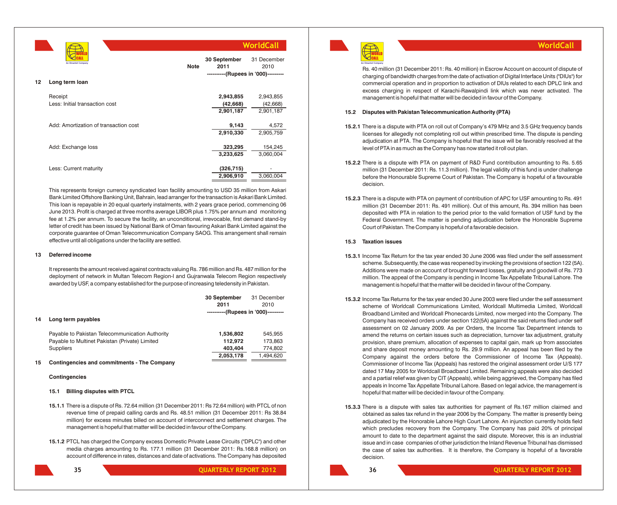**12 Long term loan** Receipt **2,943,855** 2,943,855 Less: Initial transaction cost **(42,668)** (42,668) **2,901,187** 2,901,187 Add: Amortization of transaction cost **9,143 4**,572<br>**2.910.330 2.905.759 2,910,330** 2,905,759 Add: Exchange loss **323,295** 154,245 **3,233,625** 3,060,004 Less: Current maturity **(326,715)** - **(326,715)** - **(326,715)** - **(326,715)** - **(326,715)** - **(3.906,910)** - **(3.906,910)** - **(3.906,910)** - **(3.906,910)** - **(3.906,910)** - **(3.906,910)** - **(3.906)** - **(3.906)** - **(3.906) 2,906,910** 3,060,004 **30 September** 31 December **2011** 2010 **----------(Rupees in '000)--------- Note WorldCall** WORLD CALL **An Omantel Company**

This represents foreign currency syndicated loan facility amounting to USD 35 million from Askari Bank Limited Offshore Banking Unit, Bahrain, lead arranger for the transaction is Askari Bank Limited. This loan is repayable in 20 equal quarterly instalments, with 2 years grace period, commencing 06 June 2013. Profit is charged at three months average LIBOR plus 1.75% per annum and monitoring fee at 1.2% per annum. To secure the facility, an unconditional, irrevocable, first demand stand-by letter of credit has been issued by National Bank of Oman favouring Askari Bank Limited against the corporate guarantee of Oman Telecommunication Company SAOG. This arrangement shall remain effective until all obligations under the facility are settled.

### **13 Deferred income**

It represents the amount received against contracts valuing Rs. 786 million and Rs. 487 million for the deployment of network in Multan Telecom Region-I and Gujranwala Telecom Region respectively awarded by USF, a company established for the purpose of increasing teledensity in Pakistan.

|    |                                                 | 30 September                        | 31 December |
|----|-------------------------------------------------|-------------------------------------|-------------|
|    |                                                 | 2011                                | 2010        |
|    |                                                 | ----------(Rupees in '000)--------- |             |
| 14 | Long term payables                              |                                     |             |
|    | Payable to Pakistan Telecommunication Authority | 1,536,802                           | 545.955     |
|    | Payable to Multinet Pakistan (Private) Limited  | 112.972                             | 173,863     |
|    | <b>Suppliers</b>                                | 403.404                             | 774,802     |
|    |                                                 | 2,053,178                           | 1.494.620   |
| -- | Osatlanea des said seminturents. The Osamenai   |                                     |             |

### **15 Contingencies and commitments - The Company**

### **Contingencies**

### **15.1 Billing disputes with PTCL**

- **15.1.1** There is a dispute of Rs. 72.64 million (31 December 2011: Rs 72.64 million) with PTCL of non revenue time of prepaid calling cards and Rs. 48.51 million (31 December 2011: Rs 38.84 million) for excess minutes billed on account of interconnect and settlement charges. The management is hopeful that matter will be decided in favour of the Company.
- **15.1.2** PTCL has charged the Company excess Domestic Private Lease Circuits ("DPLC") and other media charges amounting to Rs. 177.1 million (31 December 2011: Rs.168.8 million) on account of difference in rates, distances and date of activations. The Company has deposited



**25 QUARTERLY REPORT 2012** 



Rs. 40 million (31 December 2011: Rs. 40 million) in Escrow Account on account of dispute of charging of bandwidth charges from the date of activation of Digital Interface Units ("DIUs") for commercial operation and in proportion to activation of DIUs related to each DPLC link and excess charging in respect of Karachi-Rawalpindi link which was never activated. The management is hopeful that matter will be decided in favour of the Company.

**WorldCall**

### **15.2 Disputes with Pakistan Telecommunication Authority (PTA)**

- **15.2.1** There is a dispute with PTA on roll out of Company's 479 MHz and 3.5 GHz frequency bands licenses for allegedly not completing roll out within prescribed time. The dispute is pending adjudication at PTA. The Company is hopeful that the issue will be favorably resolved at the level of PTA in as much as the Company has now started it roll out plan.
- **15.2.2** There is a dispute with PTA on payment of R&D Fund contribution amounting to Rs. 5.65 million (31 December 2011: Rs. 11.3 million). The legal validity of this fund is under challenge before the Honourable Supreme Court of Pakistan. The Company is hopeful of a favourable decision.
- **15.2.3** There is a dispute with PTA on payment of contribution of APC for USF amounting to Rs. 491 million (31 December 2011: Rs. 491 million). Out of this amount, Rs. 394 million has been deposited with PTA in relation to the period prior to the valid formation of USF fund by the Federal Government. The matter is pending adjudication before the Honorable Supreme Court of Pakistan. The Company is hopeful of a favorable decision.

### **15.3 Taxation issues**

- **15.3.1** Income Tax Return for the tax year ended 30 June 2006 was filed under the self assessment scheme. Subsequently, the case was reopened by invoking the provisions of section 122 (5A). Additions were made on account of brought forward losses, gratuity and goodwill of Rs. 773 million. The appeal of the Company is pending in Income Tax Appellate Tribunal Lahore. The management is hopeful that the matter will be decided in favour of the Company.
- **15.3.2** Income Tax Returns for the tax year ended 30 June 2003 were filed under the self assessment scheme of Worldcall Communications Limited, Worldcall Multimedia Limited, Worldcall Broadband Limited and Worldcall Phonecards Limited, now merged into the Company. The Company has received orders under section 122(5A) against the said returns filed under self assessment on 02 January 2009. As per Orders, the Income Tax Department intends to amend the returns on certain issues such as depreciation, turnover tax adjustment, gratuity provision, share premium, allocation of expenses to capital gain, mark up from associates and share deposit money amounting to Rs. 29.9 million. An appeal has been filed by the Company against the orders before the Commissioner of Income Tax (Appeals). Commissioner of Income Tax (Appeals) has restored the original assessment order U/S 177 dated 17 May 2005 for Worldcall Broadband Limited. Remaining appeals were also decided and a partial relief was given by CIT (Appeals), while being aggrieved, the Company has filed appeals in Income Tax Appellate Tribunal Lahore. Based on legal advice, the management is hopeful that matter will be decided in favour of the Company.
- **15.3.3** There is a dispute with sales tax authorities for payment of Rs.167 million claimed and obtained as sales tax refund in the year 2006 by the Company. The matter is presently being adjudicated by the Honorable Lahore High Court Lahore. An injunction currently holds field which precludes recovery from the Company. The Company has paid 20% of principal amount to date to the department against the said dispute. Moreover, this is an industrial issue and in case companies of other jurisdiction the Inland Revenue Tribunal has dismissed the case of sales tax authorities. It is therefore, the Company is hopeful of a favorable decision.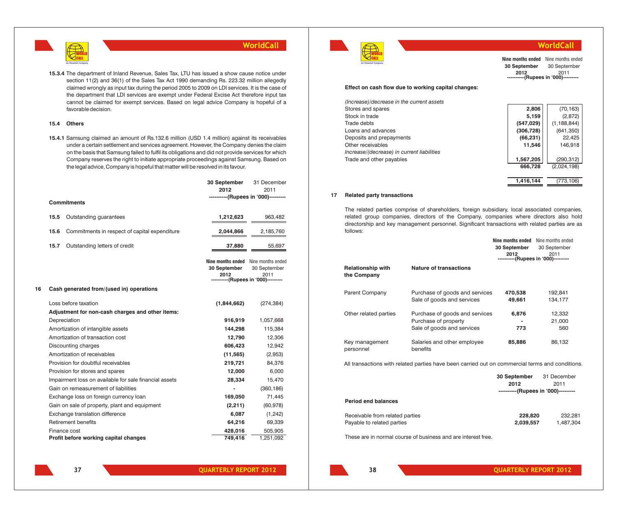

**15.3.4** The department of Inland Revenue, Sales Tax, LTU has issued a show cause notice under section 11(2) and 36(1) of the Sales Tax Act 1990 demanding Rs. 223.32 million allegedly claimed wrongly as input tax during the period 2005 to 2009 on LDI services. It is the case of the department that LDI services are exempt under Federal Excise Act therefore input tax cannot be claimed for exempt services. Based on legal advice Company is hopeful of a favorable decision.

### **15.4 Others**

**15.4.1** Samsung claimed an amount of Rs.132.6 million (USD 1.4 million) against its receivables under a certain settlement and services agreement. However, the Company denies the claim on the basis that Samsung failed to fulfil its obligations and did not provide services for which Company reserves the right to initiate appropriate proceedings against Samsung. Based on the legal advice, Company is hopeful that matter will be resolved in its favour.

|    |                     |                                                        | 30 September<br>2012 | 31 December<br>2011                                                                                       |
|----|---------------------|--------------------------------------------------------|----------------------|-----------------------------------------------------------------------------------------------------------|
|    |                     |                                                        |                      | ----------(Rupees in '000)---------                                                                       |
|    | <b>Commitments</b>  |                                                        |                      |                                                                                                           |
|    | 15.5                | Outstanding guarantees                                 | 1,212,623            | 963,482                                                                                                   |
|    | 15.6                | Commitments in respect of capital expenditure          | 2,044,866            | 2,185,760                                                                                                 |
|    | 15.7                | Outstanding letters of credit                          | 37,880               | 55,697                                                                                                    |
|    |                     |                                                        | 30 September<br>2012 | <b>Nine months ended</b> Nine months ended<br>30 September<br>2011<br>----------(Rupees in '000)--------- |
| 16 |                     | Cash generated from/(used in) operations               |                      |                                                                                                           |
|    |                     | Loss before taxation                                   | (1,844,662)          | (274, 384)                                                                                                |
|    |                     | Adjustment for non-cash charges and other items:       |                      |                                                                                                           |
|    |                     | Depreciation                                           | 916,919              | 1,057,668                                                                                                 |
|    |                     | Amortization of intangible assets                      | 144,298              | 115,384                                                                                                   |
|    |                     | Amortization of transaction cost                       | 12,790               | 12,306                                                                                                    |
|    | Discounting charges |                                                        | 606,423              | 12,942                                                                                                    |
|    |                     | Amortization of receivables                            | (11, 565)            | (2,953)                                                                                                   |
|    |                     | Provision for doubtful receivables                     | 219,721              | 84,376                                                                                                    |
|    |                     | Provision for stores and spares                        | 12,000               | 6,000                                                                                                     |
|    |                     | Impairment loss on available for sale financial assets | 28,334               | 15,470                                                                                                    |
|    |                     | Gain on remeasurement of liabilities                   |                      | (360, 186)                                                                                                |
|    |                     | Exchange loss on foreign currency loan                 | 169,050              | 71,445                                                                                                    |
|    |                     | Gain on sale of property, plant and equipment          | (2, 211)             | (60, 978)                                                                                                 |
|    |                     | Exchange translation difference                        | 6,087                | (1,242)                                                                                                   |
|    |                     | Retirement benefits                                    | 64,216               | 69,339                                                                                                    |
|    |                     | Finance cost                                           | 428,016              | 505,905                                                                                                   |
|    |                     | Profit before working capital changes                  | 749,416              | 1,251,092                                                                                                 |



### **WorldCall**

**----------(Rupees in '000)---------** 2011 **Nine months ended** Nine months ended **30 September** 30 September **2012**

#### **Effect on cash flow due to working capital changes:**

| (Increase)/decrease in the current assets  |            |               |
|--------------------------------------------|------------|---------------|
| Stores and spares                          | 2,806      | (70, 163)     |
| Stock in trade                             | 5,159      | (2,872)       |
| Trade debts                                | (547, 029) | (1, 188, 844) |
| Loans and advances                         | (306, 728) | (641, 350)    |
| Deposits and prepayments                   | (66, 231)  | 22,425        |
| Other receivables                          | 11,546     | 146,918       |
| Increase/(decrease) in current liabilities |            |               |
| Trade and other payables                   | 1,567,205  | (290, 312)    |
|                                            | 666,728    | (2,024,198)   |
|                                            |            |               |
|                                            | 1.416.144  | (773.106)     |

### **17 Related party transactions**

The related parties comprise of shareholders, foreign subsidiary, local associated companies, related group companies, directors of the Company, companies where directors also hold directorship and key management personnel. Significant transactions with related parties are as follows:

|                                                                                                 |                                         | Nine months ended | Nine months ended                   |
|-------------------------------------------------------------------------------------------------|-----------------------------------------|-------------------|-------------------------------------|
|                                                                                                 |                                         | 30 September      | 30 September                        |
|                                                                                                 |                                         | 2012              | 2011                                |
|                                                                                                 |                                         |                   | ----------(Rupees in '000)--------- |
| <b>Relationship with</b><br>the Company                                                         | <b>Nature of transactions</b>           |                   |                                     |
| Parent Company                                                                                  | Purchase of goods and services          | 470,538           | 192,841                             |
|                                                                                                 | Sale of goods and services              | 49,661            | 134.177                             |
| Other related parties                                                                           | Purchase of goods and services          | 6,876             | 12,332                              |
|                                                                                                 | Purchase of property                    |                   | 21.000                              |
|                                                                                                 | Sale of goods and services              | 773               | 560                                 |
| Key management<br>personnel                                                                     | Salaries and other employee<br>benefits | 85,886            | 86,132                              |
| All transactions with related parties have been carried out on commercial terms and conditions. |                                         |                   |                                     |

|                                 | 30 September<br>2012                | 31 December<br>2011 |
|---------------------------------|-------------------------------------|---------------------|
|                                 | ----------(Rupees in '000)--------- |                     |
| <b>Period end balances</b>      |                                     |                     |
| Receivable from related parties | 228,820                             | 232.281             |
| Payable to related parties      | 2,039,557                           | 1.487.304           |

These are in normal course of business and are interest free.

**COUNTERLY REPORT 2012**